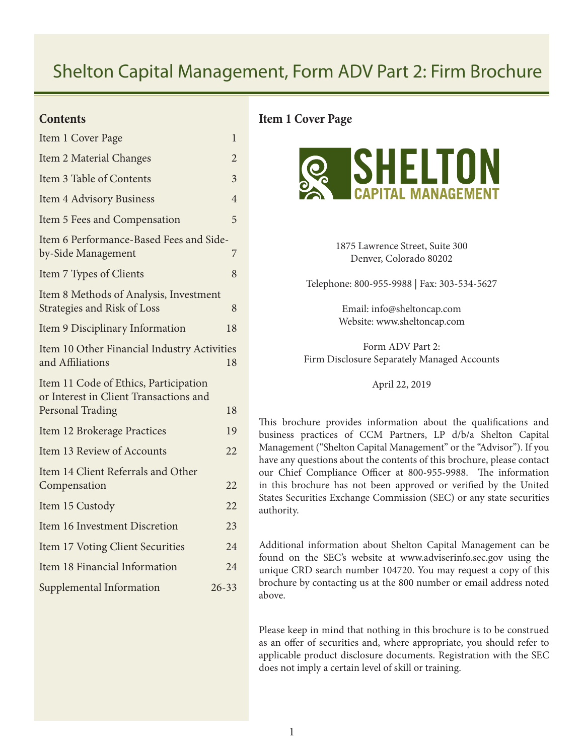# Shelton Capital Management, Form ADV Part 2: Firm Brochure

## **Contents**

| Item 1 Cover Page                                                                                   | 1              |
|-----------------------------------------------------------------------------------------------------|----------------|
| Item 2 Material Changes                                                                             | 2              |
| Item 3 Table of Contents                                                                            | $\overline{3}$ |
| <b>Item 4 Advisory Business</b>                                                                     | $\overline{4}$ |
| Item 5 Fees and Compensation                                                                        | 5              |
| Item 6 Performance-Based Fees and Side-<br>by-Side Management                                       | 7              |
| Item 7 Types of Clients                                                                             | 8              |
| Item 8 Methods of Analysis, Investment<br>Strategies and Risk of Loss                               | 8              |
| Item 9 Disciplinary Information                                                                     | 18             |
| Item 10 Other Financial Industry Activities<br>and Affiliations                                     | 18             |
| Item 11 Code of Ethics, Participation<br>or Interest in Client Transactions and<br>Personal Trading | 18             |
| Item 12 Brokerage Practices                                                                         | 19             |
| Item 13 Review of Accounts                                                                          | 22             |
| Item 14 Client Referrals and Other<br>Compensation                                                  | 22             |
| Item 15 Custody                                                                                     | 22             |
| Item 16 Investment Discretion                                                                       | 23             |
| Item 17 Voting Client Securities                                                                    | 24             |
| Item 18 Financial Information                                                                       | 24             |
| Supplemental Information                                                                            | $26 - 33$      |

## **Item 1 Cover Page**



1875 Lawrence Street, Suite 300 Denver, Colorado 80202

Telephone: 800-955-9988 | Fax: 303-534-5627

Email: info@sheltoncap.com Website: www.sheltoncap.com

Form ADV Part 2: Firm Disclosure Separately Managed Accounts

April 22, 2019

This brochure provides information about the qualifications and business practices of CCM Partners, LP d/b/a Shelton Capital Management ("Shelton Capital Management" or the "Advisor"). If you have any questions about the contents of this brochure, please contact our Chief Compliance Officer at 800-955-9988. The information in this brochure has not been approved or verified by the United States Securities Exchange Commission (SEC) or any state securities authority.

Additional information about Shelton Capital Management can be found on the SEC's website at www.adviserinfo.sec.gov using the unique CRD search number 104720. You may request a copy of this brochure by contacting us at the 800 number or email address noted above.

Please keep in mind that nothing in this brochure is to be construed as an offer of securities and, where appropriate, you should refer to applicable product disclosure documents. Registration with the SEC does not imply a certain level of skill or training.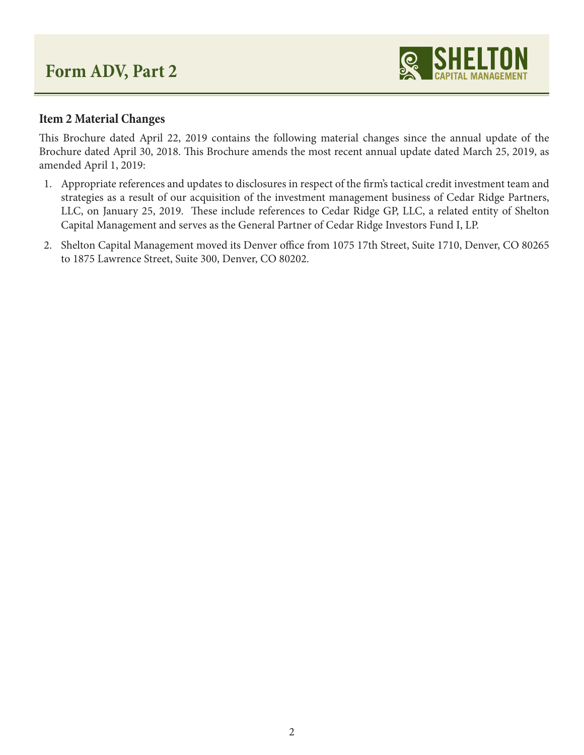

## **Item 2 Material Changes**

This Brochure dated April 22, 2019 contains the following material changes since the annual update of the Brochure dated April 30, 2018. This Brochure amends the most recent annual update dated March 25, 2019, as amended April 1, 2019:

- 1. Appropriate references and updates to disclosures in respect of the firm's tactical credit investment team and strategies as a result of our acquisition of the investment management business of Cedar Ridge Partners, LLC, on January 25, 2019. These include references to Cedar Ridge GP, LLC, a related entity of Shelton Capital Management and serves as the General Partner of Cedar Ridge Investors Fund I, LP.
- 2. Shelton Capital Management moved its Denver office from 1075 17th Street, Suite 1710, Denver, CO 80265 to 1875 Lawrence Street, Suite 300, Denver, CO 80202.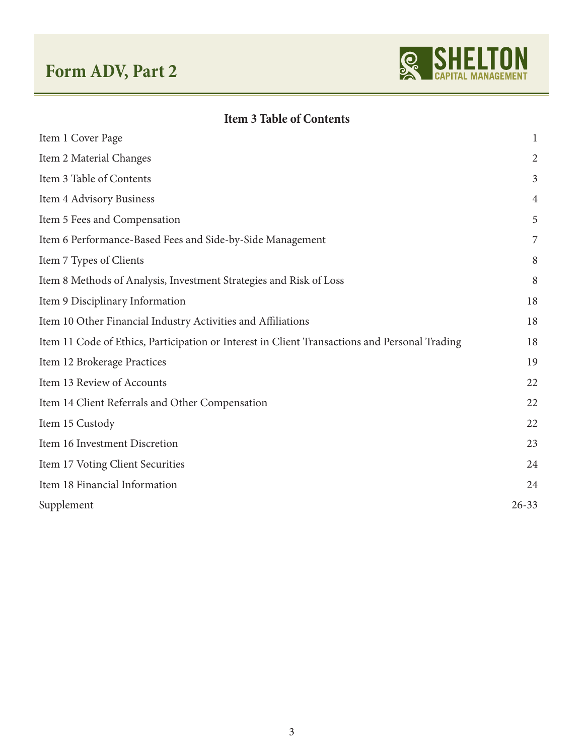

## **Item 3 Table of Contents**

| Item 1 Cover Page                                                                             | $\mathbf{1}$   |
|-----------------------------------------------------------------------------------------------|----------------|
| Item 2 Material Changes                                                                       | $\overline{2}$ |
| Item 3 Table of Contents                                                                      | $\mathfrak{Z}$ |
| Item 4 Advisory Business                                                                      | 4              |
| Item 5 Fees and Compensation                                                                  | 5              |
| Item 6 Performance-Based Fees and Side-by-Side Management                                     | 7              |
| Item 7 Types of Clients                                                                       | 8              |
| Item 8 Methods of Analysis, Investment Strategies and Risk of Loss                            | 8              |
| Item 9 Disciplinary Information                                                               | 18             |
| Item 10 Other Financial Industry Activities and Affiliations                                  | 18             |
| Item 11 Code of Ethics, Participation or Interest in Client Transactions and Personal Trading | 18             |
| Item 12 Brokerage Practices                                                                   | 19             |
| Item 13 Review of Accounts                                                                    | 22             |
| Item 14 Client Referrals and Other Compensation                                               | 22             |
| Item 15 Custody                                                                               | 22             |
| Item 16 Investment Discretion                                                                 | 23             |
| Item 17 Voting Client Securities                                                              | 24             |
| Item 18 Financial Information                                                                 | 24             |
| Supplement                                                                                    | $26 - 33$      |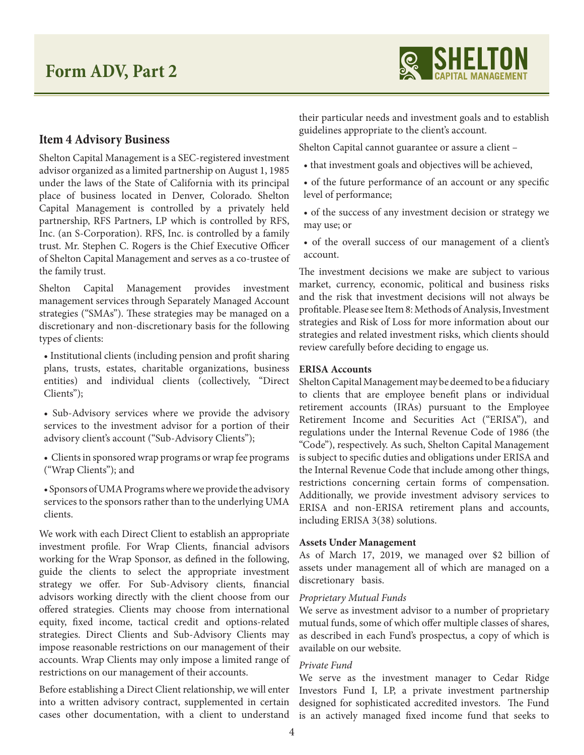

## **Item 4 Advisory Business**

Shelton Capital Management is a SEC-registered investment advisor organized as a limited partnership on August 1, 1985 under the laws of the State of California with its principal place of business located in Denver, Colorado. Shelton Capital Management is controlled by a privately held partnership, RFS Partners, LP which is controlled by RFS, Inc. (an S-Corporation). RFS, Inc. is controlled by a family trust. Mr. Stephen C. Rogers is the Chief Executive Officer of Shelton Capital Management and serves as a co-trustee of the family trust.

Shelton Capital Management provides investment management services through Separately Managed Account strategies ("SMAs"). These strategies may be managed on a discretionary and non-discretionary basis for the following types of clients:

• Institutional clients (including pension and profit sharing plans, trusts, estates, charitable organizations, business entities) and individual clients (collectively, "Direct Clients");

• Sub-Advisory services where we provide the advisory services to the investment advisor for a portion of their advisory client's account ("Sub-Advisory Clients");

• Clients in sponsored wrap programs or wrap fee programs ("Wrap Clients"); and

• Sponsors of UMA Programs where we provide the advisory services to the sponsors rather than to the underlying UMA clients.

We work with each Direct Client to establish an appropriate investment profile. For Wrap Clients, financial advisors working for the Wrap Sponsor, as defined in the following, guide the clients to select the appropriate investment strategy we offer. For Sub-Advisory clients, financial advisors working directly with the client choose from our offered strategies. Clients may choose from international equity, fixed income, tactical credit and options-related strategies. Direct Clients and Sub-Advisory Clients may impose reasonable restrictions on our management of their accounts. Wrap Clients may only impose a limited range of restrictions on our management of their accounts.

Before establishing a Direct Client relationship, we will enter into a written advisory contract, supplemented in certain cases other documentation, with a client to understand

their particular needs and investment goals and to establish guidelines appropriate to the client's account.

Shelton Capital cannot guarantee or assure a client –

- that investment goals and objectives will be achieved,
- of the future performance of an account or any specific level of performance;

• of the success of any investment decision or strategy we may use; or

• of the overall success of our management of a client's account.

The investment decisions we make are subject to various market, currency, economic, political and business risks and the risk that investment decisions will not always be profitable. Please see Item 8: Methods of Analysis, Investment strategies and Risk of Loss for more information about our strategies and related investment risks, which clients should review carefully before deciding to engage us.

#### **ERISA Accounts**

Shelton Capital Management may be deemed to be a fiduciary to clients that are employee benefit plans or individual retirement accounts (IRAs) pursuant to the Employee Retirement Income and Securities Act ("ERISA"), and regulations under the Internal Revenue Code of 1986 (the "Code"), respectively. As such, Shelton Capital Management is subject to specific duties and obligations under ERISA and the Internal Revenue Code that include among other things, restrictions concerning certain forms of compensation. Additionally, we provide investment advisory services to ERISA and non-ERISA retirement plans and accounts, including ERISA 3(38) solutions.

#### **Assets Under Management**

As of March 17, 2019, we managed over \$2 billion of assets under management all of which are managed on a discretionary basis.

#### *Proprietary Mutual Funds*

We serve as investment advisor to a number of proprietary mutual funds, some of which offer multiple classes of shares, as described in each Fund's prospectus, a copy of which is available on our website.

#### *Private Fund*

We serve as the investment manager to Cedar Ridge Investors Fund I, LP, a private investment partnership designed for sophisticated accredited investors. The Fund is an actively managed fixed income fund that seeks to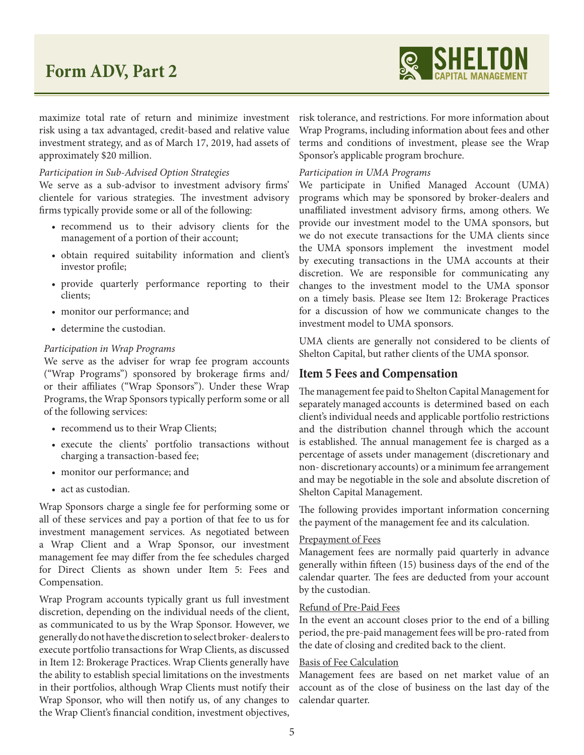

maximize total rate of return and minimize investment risk using a tax advantaged, credit-based and relative value investment strategy, and as of March 17, 2019, had assets of approximately \$20 million.

#### *Participation in Sub-Advised Option Strategies*

We serve as a sub-advisor to investment advisory firms' clientele for various strategies. The investment advisory firms typically provide some or all of the following:

- recommend us to their advisory clients for the management of a portion of their account;
- obtain required suitability information and client's investor profile;
- provide quarterly performance reporting to their clients;
- monitor our performance; and
- determine the custodian.

#### *Participation in Wrap Programs*

We serve as the adviser for wrap fee program accounts ("Wrap Programs") sponsored by brokerage firms and/ or their affiliates ("Wrap Sponsors"). Under these Wrap Programs, the Wrap Sponsors typically perform some or all of the following services:

- recommend us to their Wrap Clients;
- execute the clients' portfolio transactions without charging a transaction-based fee;
- monitor our performance; and
- act as custodian.

Wrap Sponsors charge a single fee for performing some or all of these services and pay a portion of that fee to us for investment management services. As negotiated between a Wrap Client and a Wrap Sponsor, our investment management fee may differ from the fee schedules charged for Direct Clients as shown under Item 5: Fees and Compensation.

Wrap Program accounts typically grant us full investment discretion, depending on the individual needs of the client, as communicated to us by the Wrap Sponsor. However, we generally do not have the discretion to select broker- dealers to execute portfolio transactions for Wrap Clients, as discussed in Item 12: Brokerage Practices. Wrap Clients generally have the ability to establish special limitations on the investments in their portfolios, although Wrap Clients must notify their Wrap Sponsor, who will then notify us, of any changes to the Wrap Client's financial condition, investment objectives,

risk tolerance, and restrictions. For more information about Wrap Programs, including information about fees and other terms and conditions of investment, please see the Wrap Sponsor's applicable program brochure.

#### *Participation in UMA Programs*

We participate in Unified Managed Account (UMA) programs which may be sponsored by broker-dealers and unaffiliated investment advisory firms, among others. We provide our investment model to the UMA sponsors, but we do not execute transactions for the UMA clients since the UMA sponsors implement the investment model by executing transactions in the UMA accounts at their discretion. We are responsible for communicating any changes to the investment model to the UMA sponsor on a timely basis. Please see Item 12: Brokerage Practices for a discussion of how we communicate changes to the investment model to UMA sponsors.

UMA clients are generally not considered to be clients of Shelton Capital, but rather clients of the UMA sponsor.

#### **Item 5 Fees and Compensation**

The management fee paid to Shelton Capital Management for separately managed accounts is determined based on each client's individual needs and applicable portfolio restrictions and the distribution channel through which the account is established. The annual management fee is charged as a percentage of assets under management (discretionary and non- discretionary accounts) or a minimum fee arrangement and may be negotiable in the sole and absolute discretion of Shelton Capital Management.

The following provides important information concerning the payment of the management fee and its calculation.

#### Prepayment of Fees

Management fees are normally paid quarterly in advance generally within fifteen (15) business days of the end of the calendar quarter. The fees are deducted from your account by the custodian.

#### Refund of Pre-Paid Fees

In the event an account closes prior to the end of a billing period, the pre-paid management fees will be pro-rated from the date of closing and credited back to the client.

#### Basis of Fee Calculation

Management fees are based on net market value of an account as of the close of business on the last day of the calendar quarter.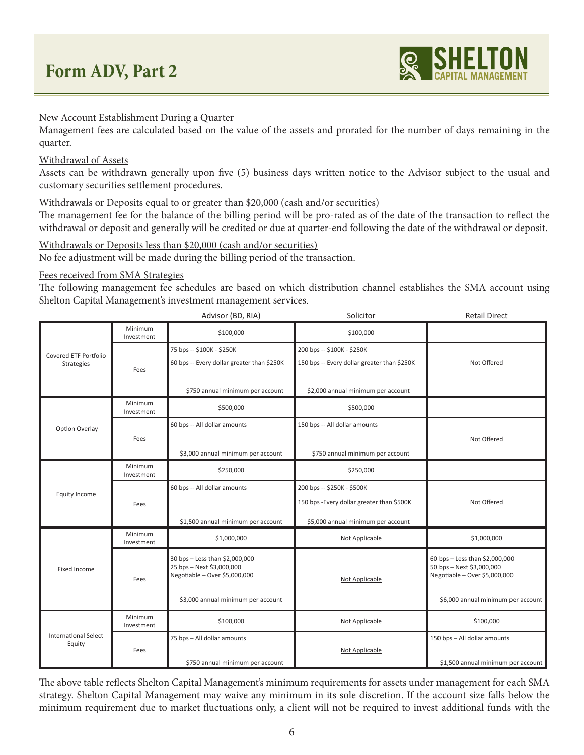

#### New Account Establishment During a Quarter

Management fees are calculated based on the value of the assets and prorated for the number of days remaining in the quarter.

#### Withdrawal of Assets

Assets can be withdrawn generally upon five (5) business days written notice to the Advisor subject to the usual and customary securities settlement procedures.

#### Withdrawals or Deposits equal to or greater than \$20,000 (cash and/or securities)

The management fee for the balance of the billing period will be pro-rated as of the date of the transaction to reflect the withdrawal or deposit and generally will be credited or due at quarter-end following the date of the withdrawal or deposit.

#### Withdrawals or Deposits less than \$20,000 (cash and/or securities)

No fee adjustment will be made during the billing period of the transaction.

#### Fees received from SMA Strategies

The following management fee schedules are based on which distribution channel establishes the SMA account using Shelton Capital Management's investment management services.

|                                       |                       | Advisor (BD, RIA)                                                                            | Solicitor                                                                                                      | <b>Retail Direct</b>                                                                         |
|---------------------------------------|-----------------------|----------------------------------------------------------------------------------------------|----------------------------------------------------------------------------------------------------------------|----------------------------------------------------------------------------------------------|
|                                       | Minimum<br>Investment | \$100,000                                                                                    | \$100,000                                                                                                      |                                                                                              |
| Covered ETF Portfolio<br>Strategies   | Fees                  | 75 bps -- \$100K - \$250K<br>60 bps -- Every dollar greater than \$250K                      | 200 bps -- \$100K - \$250K<br>150 bps -- Every dollar greater than \$250K                                      | Not Offered                                                                                  |
|                                       |                       | \$750 annual minimum per account                                                             | \$2,000 annual minimum per account                                                                             |                                                                                              |
|                                       | Minimum<br>Investment | \$500,000                                                                                    | \$500,000                                                                                                      |                                                                                              |
| Option Overlay                        |                       | 60 bps -- All dollar amounts                                                                 | 150 bps -- All dollar amounts                                                                                  |                                                                                              |
| Fees                                  |                       | \$3,000 annual minimum per account                                                           | \$750 annual minimum per account                                                                               | Not Offered                                                                                  |
|                                       | Minimum<br>Investment | \$250,000                                                                                    | \$250,000                                                                                                      |                                                                                              |
| Equity Income                         | Fees                  | 60 bps -- All dollar amounts<br>\$1,500 annual minimum per account                           | 200 bps -- \$250K - \$500K<br>150 bps - Every dollar greater than \$500K<br>\$5,000 annual minimum per account | Not Offered                                                                                  |
|                                       | Minimum<br>Investment | \$1,000,000                                                                                  | Not Applicable                                                                                                 | \$1,000,000                                                                                  |
| Fixed Income<br>Fees                  |                       | 30 bps - Less than \$2,000,000<br>25 bps - Next \$3,000,000<br>Negotiable - Over \$5,000,000 | Not Applicable                                                                                                 | 60 bps - Less than \$2,000,000<br>50 bps - Next \$3,000,000<br>Negotiable - Over \$5,000,000 |
|                                       |                       | \$3,000 annual minimum per account                                                           |                                                                                                                | \$6,000 annual minimum per account                                                           |
|                                       | Minimum<br>Investment | \$100,000                                                                                    | Not Applicable                                                                                                 | \$100,000                                                                                    |
| <b>International Select</b><br>Equity | Fees                  | 75 bps - All dollar amounts<br>\$750 annual minimum per account                              | Not Applicable                                                                                                 | 150 bps - All dollar amounts<br>\$1,500 annual minimum per account                           |

The above table reflects Shelton Capital Management's minimum requirements for assets under management for each SMA strategy. Shelton Capital Management may waive any minimum in its sole discretion. If the account size falls below the minimum requirement due to market fluctuations only, a client will not be required to invest additional funds with the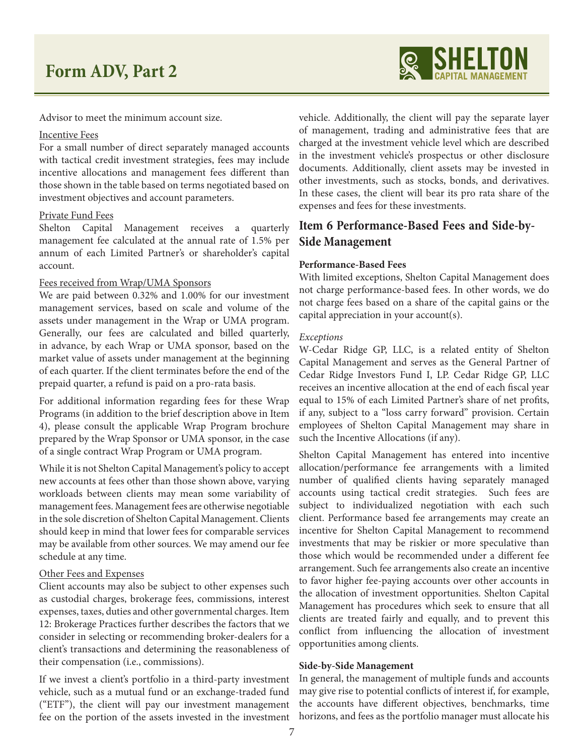

Advisor to meet the minimum account size.

#### Incentive Fees

For a small number of direct separately managed accounts with tactical credit investment strategies, fees may include incentive allocations and management fees different than those shown in the table based on terms negotiated based on investment objectives and account parameters.

#### Private Fund Fees

Shelton Capital Management receives a quarterly management fee calculated at the annual rate of 1.5% per annum of each Limited Partner's or shareholder's capital account.

#### Fees received from Wrap/UMA Sponsors

We are paid between 0.32% and 1.00% for our investment management services, based on scale and volume of the assets under management in the Wrap or UMA program. Generally, our fees are calculated and billed quarterly, in advance, by each Wrap or UMA sponsor, based on the market value of assets under management at the beginning of each quarter. If the client terminates before the end of the prepaid quarter, a refund is paid on a pro-rata basis.

For additional information regarding fees for these Wrap Programs (in addition to the brief description above in Item 4), please consult the applicable Wrap Program brochure prepared by the Wrap Sponsor or UMA sponsor, in the case of a single contract Wrap Program or UMA program.

While it is not Shelton Capital Management's policy to accept new accounts at fees other than those shown above, varying workloads between clients may mean some variability of management fees. Management fees are otherwise negotiable in the sole discretion of Shelton Capital Management. Clients should keep in mind that lower fees for comparable services may be available from other sources. We may amend our fee schedule at any time.

#### Other Fees and Expenses

Client accounts may also be subject to other expenses such as custodial charges, brokerage fees, commissions, interest expenses, taxes, duties and other governmental charges. Item 12: Brokerage Practices further describes the factors that we consider in selecting or recommending broker-dealers for a client's transactions and determining the reasonableness of their compensation (i.e., commissions).

If we invest a client's portfolio in a third-party investment vehicle, such as a mutual fund or an exchange-traded fund ("ETF"), the client will pay our investment management fee on the portion of the assets invested in the investment vehicle. Additionally, the client will pay the separate layer of management, trading and administrative fees that are charged at the investment vehicle level which are described in the investment vehicle's prospectus or other disclosure documents. Additionally, client assets may be invested in other investments, such as stocks, bonds, and derivatives. In these cases, the client will bear its pro rata share of the expenses and fees for these investments.

## **Item 6 Performance-Based Fees and Side-by-Side Management**

#### **Performance-Based Fees**

With limited exceptions, Shelton Capital Management does not charge performance-based fees. In other words, we do not charge fees based on a share of the capital gains or the capital appreciation in your account(s).

#### *Exceptions*

W-Cedar Ridge GP, LLC, is a related entity of Shelton Capital Management and serves as the General Partner of Cedar Ridge Investors Fund I, LP. Cedar Ridge GP, LLC receives an incentive allocation at the end of each fiscal year equal to 15% of each Limited Partner's share of net profits, if any, subject to a "loss carry forward" provision. Certain employees of Shelton Capital Management may share in such the Incentive Allocations (if any).

Shelton Capital Management has entered into incentive allocation/performance fee arrangements with a limited number of qualified clients having separately managed accounts using tactical credit strategies. Such fees are subject to individualized negotiation with each such client. Performance based fee arrangements may create an incentive for Shelton Capital Management to recommend investments that may be riskier or more speculative than those which would be recommended under a different fee arrangement. Such fee arrangements also create an incentive to favor higher fee-paying accounts over other accounts in the allocation of investment opportunities. Shelton Capital Management has procedures which seek to ensure that all clients are treated fairly and equally, and to prevent this conflict from influencing the allocation of investment opportunities among clients.

#### **Side-by-Side Management**

In general, the management of multiple funds and accounts may give rise to potential conflicts of interest if, for example, the accounts have different objectives, benchmarks, time horizons, and fees as the portfolio manager must allocate his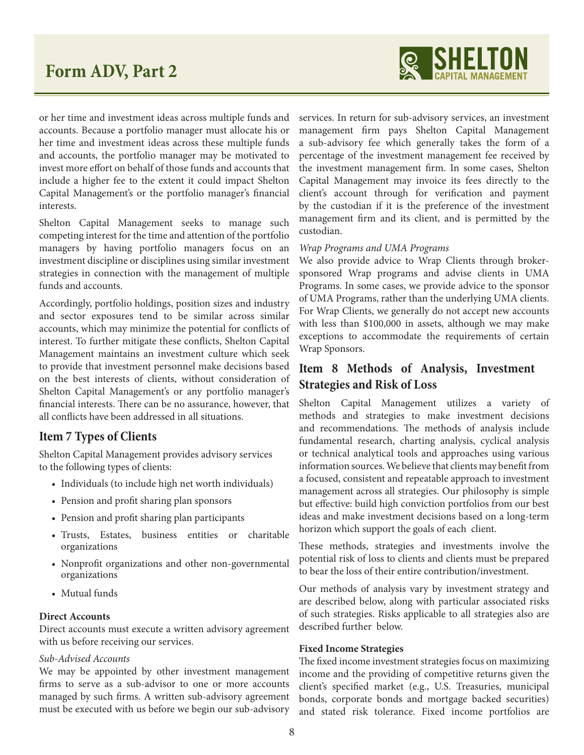

or her time and investment ideas across multiple funds and accounts. Because a portfolio manager must allocate his or her time and investment ideas across these multiple funds and accounts, the portfolio manager may be motivated to invest more effort on behalf of those funds and accounts that include a higher fee to the extent it could impact Shelton Capital Management's or the portfolio manager's financial interests.

Shelton Capital Management seeks to manage such competing interest for the time and attention of the portfolio managers by having portfolio managers focus on an investment discipline or disciplines using similar investment strategies in connection with the management of multiple funds and accounts.

Accordingly, portfolio holdings, position sizes and industry and sector exposures tend to be similar across similar accounts, which may minimize the potential for conflicts of interest. To further mitigate these conflicts, Shelton Capital Management maintains an investment culture which seek to provide that investment personnel make decisions based on the best interests of clients, without consideration of Shelton Capital Management's or any portfolio manager's financial interests. There can be no assurance, however, that all conflicts have been addressed in all situations.

## **Item 7 Types of Clients**

Shelton Capital Management provides advisory services to the following types of clients:

- Individuals (to include high net worth individuals)
- Pension and profit sharing plan sponsors
- Pension and profit sharing plan participants
- Trusts, Estates, business entities or charitable organizations
- Nonprofit organizations and other non-governmental organizations
- Mutual funds

#### **Direct Accounts**

Direct accounts must execute a written advisory agreement with us before receiving our services.

#### *Sub-Advised Accounts*

We may be appointed by other investment management firms to serve as a sub-advisor to one or more accounts managed by such firms. A written sub-advisory agreement must be executed with us before we begin our sub-advisory services. In return for sub-advisory services, an investment management firm pays Shelton Capital Management a sub-advisory fee which generally takes the form of a percentage of the investment management fee received by the investment management firm. In some cases, Shelton Capital Management may invoice its fees directly to the client's account through for verification and payment by the custodian if it is the preference of the investment management firm and its client, and is permitted by the custodian.

#### *Wrap Programs and UMA Programs*

We also provide advice to Wrap Clients through brokersponsored Wrap programs and advise clients in UMA Programs. In some cases, we provide advice to the sponsor of UMA Programs, rather than the underlying UMA clients. For Wrap Clients, we generally do not accept new accounts with less than \$100,000 in assets, although we may make exceptions to accommodate the requirements of certain Wrap Sponsors.

## **Item 8 Methods of Analysis, Investment Strategies and Risk of Loss**

Shelton Capital Management utilizes a variety of methods and strategies to make investment decisions and recommendations. The methods of analysis include fundamental research, charting analysis, cyclical analysis or technical analytical tools and approaches using various information sources. We believe that clients may benefit from a focused, consistent and repeatable approach to investment management across all strategies. Our philosophy is simple but effective: build high conviction portfolios from our best ideas and make investment decisions based on a long-term horizon which support the goals of each client.

These methods, strategies and investments involve the potential risk of loss to clients and clients must be prepared to bear the loss of their entire contribution/investment.

Our methods of analysis vary by investment strategy and are described below, along with particular associated risks of such strategies. Risks applicable to all strategies also are described further below.

#### **Fixed Income Strategies**

The fixed income investment strategies focus on maximizing income and the providing of competitive returns given the client's specified market (e.g., U.S. Treasuries, municipal bonds, corporate bonds and mortgage backed securities) and stated risk tolerance. Fixed income portfolios are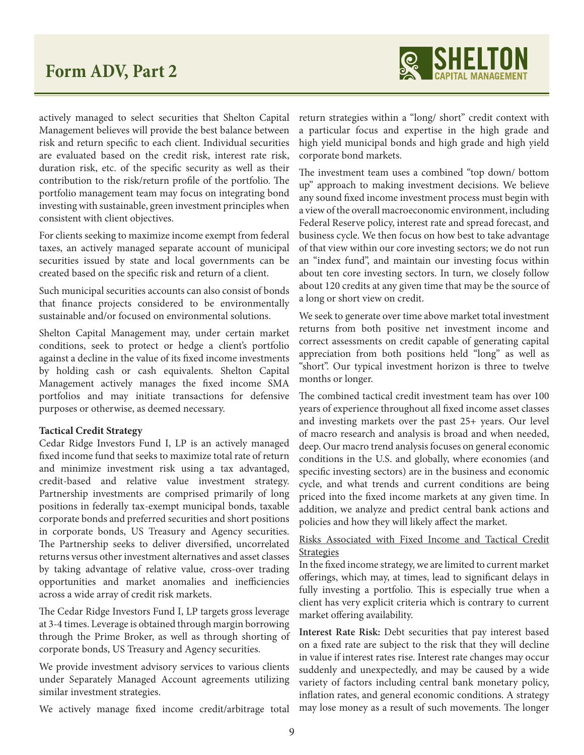

actively managed to select securities that Shelton Capital Management believes will provide the best balance between risk and return specific to each client. Individual securities are evaluated based on the credit risk, interest rate risk, duration risk, etc. of the specific security as well as their contribution to the risk/return profile of the portfolio. The portfolio management team may focus on integrating bond investing with sustainable, green investment principles when consistent with client objectives.

For clients seeking to maximize income exempt from federal taxes, an actively managed separate account of municipal securities issued by state and local governments can be created based on the specific risk and return of a client.

Such municipal securities accounts can also consist of bonds that finance projects considered to be environmentally sustainable and/or focused on environmental solutions.

Shelton Capital Management may, under certain market conditions, seek to protect or hedge a client's portfolio against a decline in the value of its fixed income investments by holding cash or cash equivalents. Shelton Capital Management actively manages the fixed income SMA portfolios and may initiate transactions for defensive purposes or otherwise, as deemed necessary.

#### **Tactical Credit Strategy**

Cedar Ridge Investors Fund I, LP is an actively managed fixed income fund that seeks to maximize total rate of return and minimize investment risk using a tax advantaged, credit-based and relative value investment strategy. Partnership investments are comprised primarily of long positions in federally tax-exempt municipal bonds, taxable corporate bonds and preferred securities and short positions in corporate bonds, US Treasury and Agency securities. The Partnership seeks to deliver diversified, uncorrelated returns versus other investment alternatives and asset classes by taking advantage of relative value, cross-over trading opportunities and market anomalies and inefficiencies across a wide array of credit risk markets.

The Cedar Ridge Investors Fund I, LP targets gross leverage at 3-4 times. Leverage is obtained through margin borrowing through the Prime Broker, as well as through shorting of corporate bonds, US Treasury and Agency securities.

We provide investment advisory services to various clients under Separately Managed Account agreements utilizing similar investment strategies.

We actively manage fixed income credit/arbitrage total

return strategies within a "long/ short" credit context with a particular focus and expertise in the high grade and high yield municipal bonds and high grade and high yield corporate bond markets.

The investment team uses a combined "top down/ bottom up" approach to making investment decisions. We believe any sound fixed income investment process must begin with a view of the overall macroeconomic environment, including Federal Reserve policy, interest rate and spread forecast, and business cycle. We then focus on how best to take advantage of that view within our core investing sectors; we do not run an "index fund", and maintain our investing focus within about ten core investing sectors. In turn, we closely follow about 120 credits at any given time that may be the source of a long or short view on credit.

We seek to generate over time above market total investment returns from both positive net investment income and correct assessments on credit capable of generating capital appreciation from both positions held "long" as well as "short". Our typical investment horizon is three to twelve months or longer.

The combined tactical credit investment team has over 100 years of experience throughout all fixed income asset classes and investing markets over the past 25+ years. Our level of macro research and analysis is broad and when needed, deep. Our macro trend analysis focuses on general economic conditions in the U.S. and globally, where economies (and specific investing sectors) are in the business and economic cycle, and what trends and current conditions are being priced into the fixed income markets at any given time. In addition, we analyze and predict central bank actions and policies and how they will likely affect the market.

## Risks Associated with Fixed Income and Tactical Credit **Strategies**

In the fixed income strategy, we are limited to current market offerings, which may, at times, lead to significant delays in fully investing a portfolio. This is especially true when a client has very explicit criteria which is contrary to current market offering availability.

**Interest Rate Risk:** Debt securities that pay interest based on a fixed rate are subject to the risk that they will decline in value if interest rates rise. Interest rate changes may occur suddenly and unexpectedly, and may be caused by a wide variety of factors including central bank monetary policy, inflation rates, and general economic conditions. A strategy may lose money as a result of such movements. The longer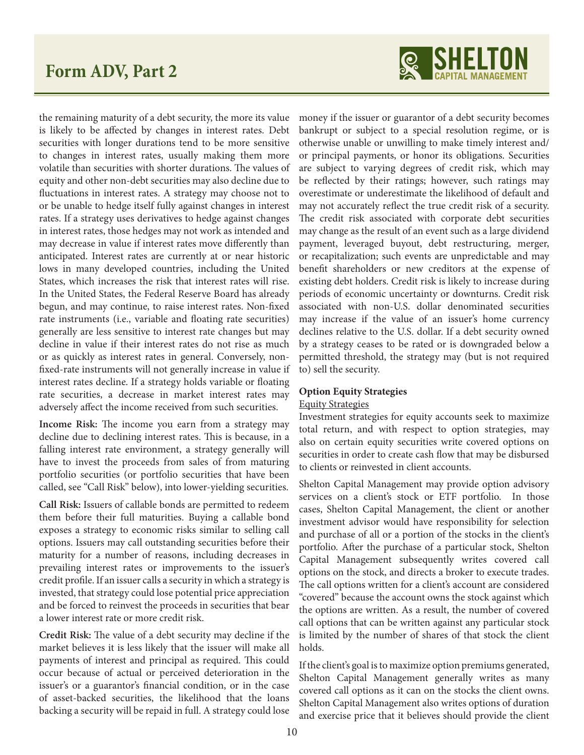

the remaining maturity of a debt security, the more its value is likely to be affected by changes in interest rates. Debt securities with longer durations tend to be more sensitive to changes in interest rates, usually making them more volatile than securities with shorter durations. The values of equity and other non-debt securities may also decline due to fluctuations in interest rates. A strategy may choose not to or be unable to hedge itself fully against changes in interest rates. If a strategy uses derivatives to hedge against changes in interest rates, those hedges may not work as intended and may decrease in value if interest rates move differently than anticipated. Interest rates are currently at or near historic lows in many developed countries, including the United States, which increases the risk that interest rates will rise. In the United States, the Federal Reserve Board has already begun, and may continue, to raise interest rates. Non-fixed rate instruments (i.e., variable and floating rate securities) generally are less sensitive to interest rate changes but may decline in value if their interest rates do not rise as much or as quickly as interest rates in general. Conversely, nonfixed-rate instruments will not generally increase in value if interest rates decline. If a strategy holds variable or floating rate securities, a decrease in market interest rates may adversely affect the income received from such securities.

**Income Risk:** The income you earn from a strategy may decline due to declining interest rates. This is because, in a falling interest rate environment, a strategy generally will have to invest the proceeds from sales of from maturing portfolio securities (or portfolio securities that have been called, see "Call Risk" below), into lower-yielding securities.

**Call Risk:** Issuers of callable bonds are permitted to redeem them before their full maturities. Buying a callable bond exposes a strategy to economic risks similar to selling call options. Issuers may call outstanding securities before their maturity for a number of reasons, including decreases in prevailing interest rates or improvements to the issuer's credit profile. If an issuer calls a security in which a strategy is invested, that strategy could lose potential price appreciation and be forced to reinvest the proceeds in securities that bear a lower interest rate or more credit risk.

**Credit Risk:** The value of a debt security may decline if the market believes it is less likely that the issuer will make all payments of interest and principal as required. This could occur because of actual or perceived deterioration in the issuer's or a guarantor's financial condition, or in the case of asset-backed securities, the likelihood that the loans backing a security will be repaid in full. A strategy could lose

money if the issuer or guarantor of a debt security becomes bankrupt or subject to a special resolution regime, or is otherwise unable or unwilling to make timely interest and/ or principal payments, or honor its obligations. Securities are subject to varying degrees of credit risk, which may be reflected by their ratings; however, such ratings may overestimate or underestimate the likelihood of default and may not accurately reflect the true credit risk of a security. The credit risk associated with corporate debt securities may change as the result of an event such as a large dividend payment, leveraged buyout, debt restructuring, merger, or recapitalization; such events are unpredictable and may benefit shareholders or new creditors at the expense of existing debt holders. Credit risk is likely to increase during periods of economic uncertainty or downturns. Credit risk associated with non-U.S. dollar denominated securities may increase if the value of an issuer's home currency declines relative to the U.S. dollar. If a debt security owned by a strategy ceases to be rated or is downgraded below a permitted threshold, the strategy may (but is not required to) sell the security.

#### **Option Equity Strategies**

#### Equity Strategies

Investment strategies for equity accounts seek to maximize total return, and with respect to option strategies, may also on certain equity securities write covered options on securities in order to create cash flow that may be disbursed to clients or reinvested in client accounts.

Shelton Capital Management may provide option advisory services on a client's stock or ETF portfolio. In those cases, Shelton Capital Management, the client or another investment advisor would have responsibility for selection and purchase of all or a portion of the stocks in the client's portfolio. After the purchase of a particular stock, Shelton Capital Management subsequently writes covered call options on the stock, and directs a broker to execute trades. The call options written for a client's account are considered "covered" because the account owns the stock against which the options are written. As a result, the number of covered call options that can be written against any particular stock is limited by the number of shares of that stock the client holds.

If the client's goal is to maximize option premiums generated, Shelton Capital Management generally writes as many covered call options as it can on the stocks the client owns. Shelton Capital Management also writes options of duration and exercise price that it believes should provide the client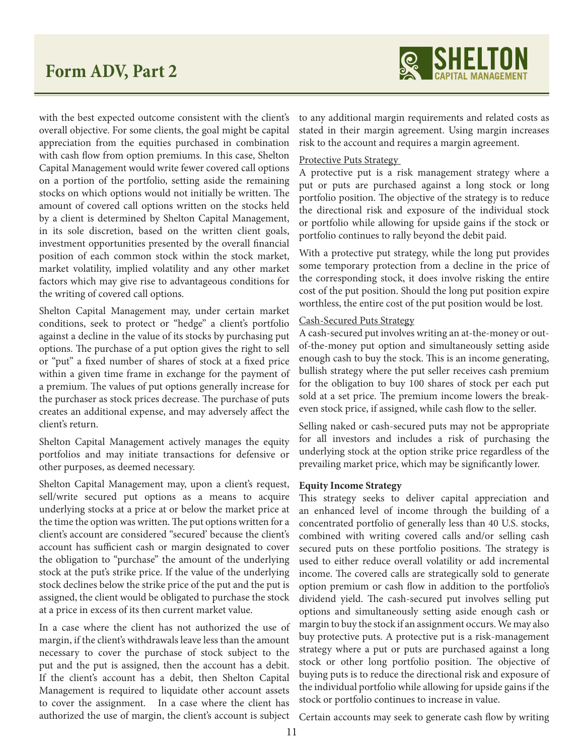

with the best expected outcome consistent with the client's overall objective. For some clients, the goal might be capital appreciation from the equities purchased in combination with cash flow from option premiums. In this case, Shelton Capital Management would write fewer covered call options on a portion of the portfolio, setting aside the remaining stocks on which options would not initially be written. The amount of covered call options written on the stocks held by a client is determined by Shelton Capital Management, in its sole discretion, based on the written client goals, investment opportunities presented by the overall financial position of each common stock within the stock market, market volatility, implied volatility and any other market factors which may give rise to advantageous conditions for the writing of covered call options.

Shelton Capital Management may, under certain market conditions, seek to protect or "hedge" a client's portfolio against a decline in the value of its stocks by purchasing put options. The purchase of a put option gives the right to sell or "put" a fixed number of shares of stock at a fixed price within a given time frame in exchange for the payment of a premium. The values of put options generally increase for the purchaser as stock prices decrease. The purchase of puts creates an additional expense, and may adversely affect the client's return.

Shelton Capital Management actively manages the equity portfolios and may initiate transactions for defensive or other purposes, as deemed necessary.

Shelton Capital Management may, upon a client's request, sell/write secured put options as a means to acquire underlying stocks at a price at or below the market price at the time the option was written. The put options written for a client's account are considered "secured' because the client's account has sufficient cash or margin designated to cover the obligation to "purchase" the amount of the underlying stock at the put's strike price. If the value of the underlying stock declines below the strike price of the put and the put is assigned, the client would be obligated to purchase the stock at a price in excess of its then current market value.

In a case where the client has not authorized the use of margin, if the client's withdrawals leave less than the amount necessary to cover the purchase of stock subject to the put and the put is assigned, then the account has a debit. If the client's account has a debit, then Shelton Capital Management is required to liquidate other account assets to cover the assignment. In a case where the client has authorized the use of margin, the client's account is subject to any additional margin requirements and related costs as stated in their margin agreement. Using margin increases risk to the account and requires a margin agreement.

#### Protective Puts Strategy

A protective put is a risk management strategy where a put or puts are purchased against a long stock or long portfolio position. The objective of the strategy is to reduce the directional risk and exposure of the individual stock or portfolio while allowing for upside gains if the stock or portfolio continues to rally beyond the debit paid.

With a protective put strategy, while the long put provides some temporary protection from a decline in the price of the corresponding stock, it does involve risking the entire cost of the put position. Should the long put position expire worthless, the entire cost of the put position would be lost.

#### Cash-Secured Puts Strategy

A cash-secured put involves writing an at-the-money or outof-the-money put option and simultaneously setting aside enough cash to buy the stock. This is an income generating, bullish strategy where the put seller receives cash premium for the obligation to buy 100 shares of stock per each put sold at a set price. The premium income lowers the breakeven stock price, if assigned, while cash flow to the seller.

Selling naked or cash-secured puts may not be appropriate for all investors and includes a risk of purchasing the underlying stock at the option strike price regardless of the prevailing market price, which may be significantly lower.

#### **Equity Income Strategy**

This strategy seeks to deliver capital appreciation and an enhanced level of income through the building of a concentrated portfolio of generally less than 40 U.S. stocks, combined with writing covered calls and/or selling cash secured puts on these portfolio positions. The strategy is used to either reduce overall volatility or add incremental income. The covered calls are strategically sold to generate option premium or cash flow in addition to the portfolio's dividend yield. The cash-secured put involves selling put options and simultaneously setting aside enough cash or margin to buy the stock if an assignment occurs. We may also buy protective puts. A protective put is a risk-management strategy where a put or puts are purchased against a long stock or other long portfolio position. The objective of buying puts is to reduce the directional risk and exposure of the individual portfolio while allowing for upside gains if the stock or portfolio continues to increase in value.

Certain accounts may seek to generate cash flow by writing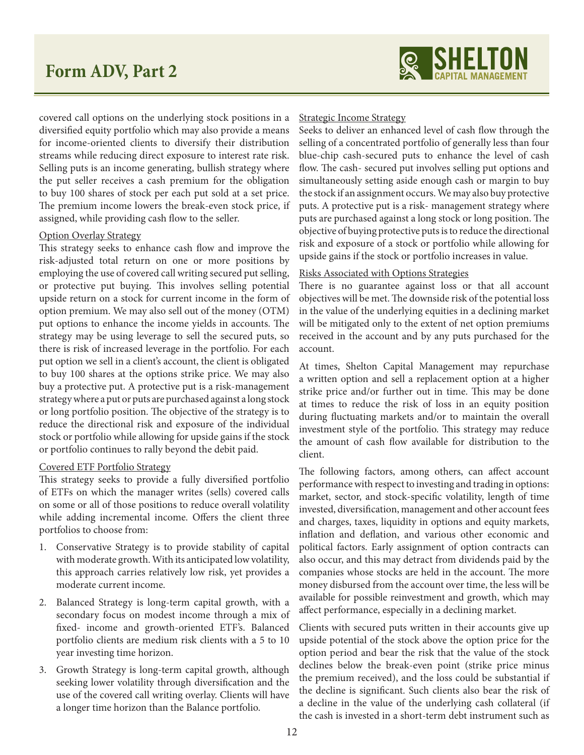

covered call options on the underlying stock positions in a diversified equity portfolio which may also provide a means for income-oriented clients to diversify their distribution streams while reducing direct exposure to interest rate risk. Selling puts is an income generating, bullish strategy where the put seller receives a cash premium for the obligation to buy 100 shares of stock per each put sold at a set price. The premium income lowers the break-even stock price, if assigned, while providing cash flow to the seller.

#### Option Overlay Strategy

This strategy seeks to enhance cash flow and improve the risk-adjusted total return on one or more positions by employing the use of covered call writing secured put selling, or protective put buying. This involves selling potential upside return on a stock for current income in the form of option premium. We may also sell out of the money (OTM) put options to enhance the income yields in accounts. The strategy may be using leverage to sell the secured puts, so there is risk of increased leverage in the portfolio. For each put option we sell in a client's account, the client is obligated to buy 100 shares at the options strike price. We may also buy a protective put. A protective put is a risk-management strategy where a put or puts are purchased against a long stock or long portfolio position. The objective of the strategy is to reduce the directional risk and exposure of the individual stock or portfolio while allowing for upside gains if the stock or portfolio continues to rally beyond the debit paid.

#### Covered ETF Portfolio Strategy

This strategy seeks to provide a fully diversified portfolio of ETFs on which the manager writes (sells) covered calls on some or all of those positions to reduce overall volatility while adding incremental income. Offers the client three portfolios to choose from:

- 1. Conservative Strategy is to provide stability of capital with moderate growth. With its anticipated low volatility, this approach carries relatively low risk, yet provides a moderate current income.
- 2. Balanced Strategy is long-term capital growth, with a secondary focus on modest income through a mix of fixed- income and growth-oriented ETF's. Balanced portfolio clients are medium risk clients with a 5 to 10 year investing time horizon.
- 3. Growth Strategy is long-term capital growth, although seeking lower volatility through diversification and the use of the covered call writing overlay. Clients will have a longer time horizon than the Balance portfolio.

#### Strategic Income Strategy

Seeks to deliver an enhanced level of cash flow through the selling of a concentrated portfolio of generally less than four blue-chip cash-secured puts to enhance the level of cash flow. The cash- secured put involves selling put options and simultaneously setting aside enough cash or margin to buy the stock if an assignment occurs. We may also buy protective puts. A protective put is a risk- management strategy where puts are purchased against a long stock or long position. The objective of buying protective puts is to reduce the directional risk and exposure of a stock or portfolio while allowing for upside gains if the stock or portfolio increases in value.

#### Risks Associated with Options Strategies

There is no guarantee against loss or that all account objectives will be met. The downside risk of the potential loss in the value of the underlying equities in a declining market will be mitigated only to the extent of net option premiums received in the account and by any puts purchased for the account.

At times, Shelton Capital Management may repurchase a written option and sell a replacement option at a higher strike price and/or further out in time. This may be done at times to reduce the risk of loss in an equity position during fluctuating markets and/or to maintain the overall investment style of the portfolio. This strategy may reduce the amount of cash flow available for distribution to the client.

The following factors, among others, can affect account performance with respect to investing and trading in options: market, sector, and stock-specific volatility, length of time invested, diversification, management and other account fees and charges, taxes, liquidity in options and equity markets, inflation and deflation, and various other economic and political factors. Early assignment of option contracts can also occur, and this may detract from dividends paid by the companies whose stocks are held in the account. The more money disbursed from the account over time, the less will be available for possible reinvestment and growth, which may affect performance, especially in a declining market.

Clients with secured puts written in their accounts give up upside potential of the stock above the option price for the option period and bear the risk that the value of the stock declines below the break-even point (strike price minus the premium received), and the loss could be substantial if the decline is significant. Such clients also bear the risk of a decline in the value of the underlying cash collateral (if the cash is invested in a short-term debt instrument such as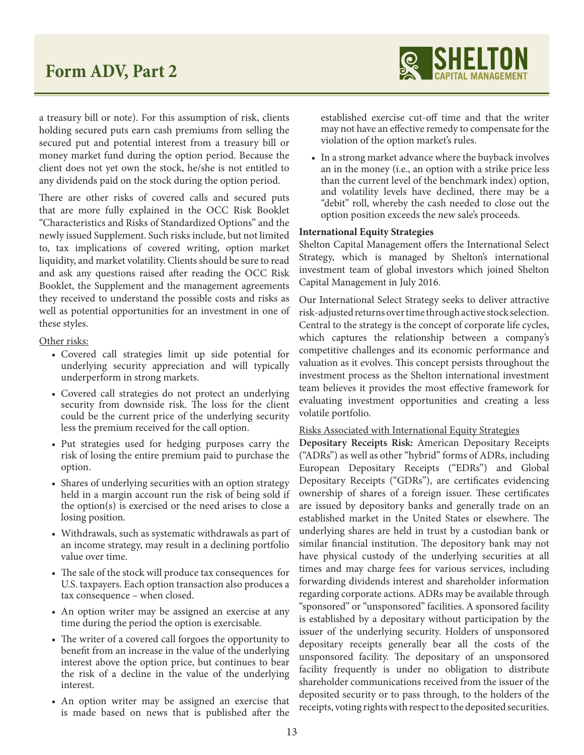

a treasury bill or note). For this assumption of risk, clients holding secured puts earn cash premiums from selling the secured put and potential interest from a treasury bill or money market fund during the option period. Because the client does not yet own the stock, he/she is not entitled to any dividends paid on the stock during the option period.

There are other risks of covered calls and secured puts that are more fully explained in the OCC Risk Booklet "Characteristics and Risks of Standardized Options" and the newly issued Supplement. Such risks include, but not limited to, tax implications of covered writing, option market liquidity, and market volatility. Clients should be sure to read and ask any questions raised after reading the OCC Risk Booklet, the Supplement and the management agreements they received to understand the possible costs and risks as well as potential opportunities for an investment in one of these styles.

Other risks:

- Covered call strategies limit up side potential for underlying security appreciation and will typically underperform in strong markets.
- Covered call strategies do not protect an underlying security from downside risk. The loss for the client could be the current price of the underlying security less the premium received for the call option.
- Put strategies used for hedging purposes carry the risk of losing the entire premium paid to purchase the option.
- Shares of underlying securities with an option strategy held in a margin account run the risk of being sold if the option(s) is exercised or the need arises to close a losing position.
- Withdrawals, such as systematic withdrawals as part of an income strategy, may result in a declining portfolio value over time.
- The sale of the stock will produce tax consequences for U.S. taxpayers. Each option transaction also produces a tax consequence – when closed.
- An option writer may be assigned an exercise at any time during the period the option is exercisable.
- The writer of a covered call forgoes the opportunity to benefit from an increase in the value of the underlying interest above the option price, but continues to bear the risk of a decline in the value of the underlying interest.
- An option writer may be assigned an exercise that is made based on news that is published after the

established exercise cut-off time and that the writer may not have an effective remedy to compensate for the violation of the option market's rules.

• In a strong market advance where the buyback involves an in the money (i.e., an option with a strike price less than the current level of the benchmark index) option, and volatility levels have declined, there may be a "debit" roll, whereby the cash needed to close out the option position exceeds the new sale's proceeds.

#### **International Equity Strategies**

Shelton Capital Management offers the International Select Strategy, which is managed by Shelton's international investment team of global investors which joined Shelton Capital Management in July 2016.

Our International Select Strategy seeks to deliver attractive risk-adjusted returns over time through active stock selection. Central to the strategy is the concept of corporate life cycles, which captures the relationship between a company's competitive challenges and its economic performance and valuation as it evolves. This concept persists throughout the investment process as the Shelton international investment team believes it provides the most effective framework for evaluating investment opportunities and creating a less volatile portfolio.

#### Risks Associated with International Equity Strategies

**Depositary Receipts Risk:** American Depositary Receipts ("ADRs") as well as other "hybrid" forms of ADRs, including European Depositary Receipts ("EDRs") and Global Depositary Receipts ("GDRs"), are certificates evidencing ownership of shares of a foreign issuer. These certificates are issued by depository banks and generally trade on an established market in the United States or elsewhere. The underlying shares are held in trust by a custodian bank or similar financial institution. The depository bank may not have physical custody of the underlying securities at all times and may charge fees for various services, including forwarding dividends interest and shareholder information regarding corporate actions. ADRs may be available through "sponsored" or "unsponsored" facilities. A sponsored facility is established by a depositary without participation by the issuer of the underlying security. Holders of unsponsored depositary receipts generally bear all the costs of the unsponsored facility. The depositary of an unsponsored facility frequently is under no obligation to distribute shareholder communications received from the issuer of the deposited security or to pass through, to the holders of the receipts, voting rights with respect to the deposited securities.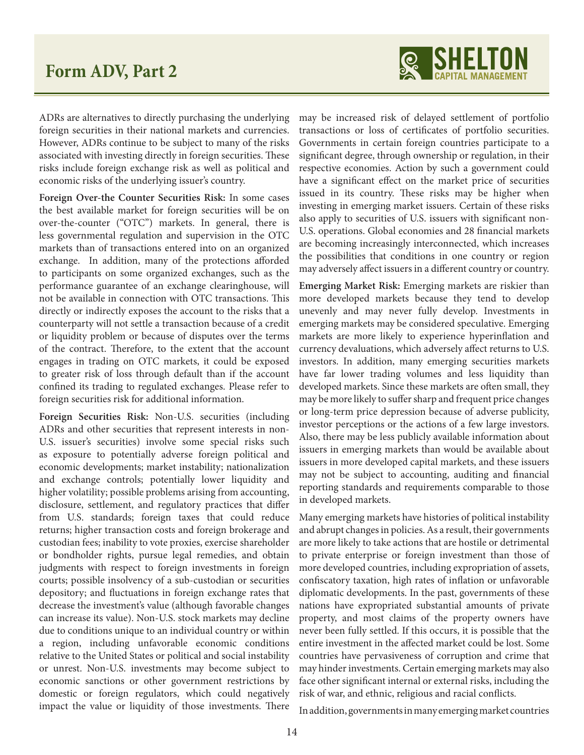

ADRs are alternatives to directly purchasing the underlying foreign securities in their national markets and currencies. However, ADRs continue to be subject to many of the risks associated with investing directly in foreign securities. These risks include foreign exchange risk as well as political and economic risks of the underlying issuer's country.

**Foreign Over-the Counter Securities Risk:** In some cases the best available market for foreign securities will be on over-the-counter ("OTC") markets. In general, there is less governmental regulation and supervision in the OTC markets than of transactions entered into on an organized exchange. In addition, many of the protections afforded to participants on some organized exchanges, such as the performance guarantee of an exchange clearinghouse, will not be available in connection with OTC transactions. This directly or indirectly exposes the account to the risks that a counterparty will not settle a transaction because of a credit or liquidity problem or because of disputes over the terms of the contract. Therefore, to the extent that the account engages in trading on OTC markets, it could be exposed to greater risk of loss through default than if the account confined its trading to regulated exchanges. Please refer to foreign securities risk for additional information.

**Foreign Securities Risk:** Non-U.S. securities (including ADRs and other securities that represent interests in non-U.S. issuer's securities) involve some special risks such as exposure to potentially adverse foreign political and economic developments; market instability; nationalization and exchange controls; potentially lower liquidity and higher volatility; possible problems arising from accounting, disclosure, settlement, and regulatory practices that differ from U.S. standards; foreign taxes that could reduce returns; higher transaction costs and foreign brokerage and custodian fees; inability to vote proxies, exercise shareholder or bondholder rights, pursue legal remedies, and obtain judgments with respect to foreign investments in foreign courts; possible insolvency of a sub-custodian or securities depository; and fluctuations in foreign exchange rates that decrease the investment's value (although favorable changes can increase its value). Non-U.S. stock markets may decline due to conditions unique to an individual country or within a region, including unfavorable economic conditions relative to the United States or political and social instability or unrest. Non-U.S. investments may become subject to economic sanctions or other government restrictions by domestic or foreign regulators, which could negatively impact the value or liquidity of those investments. There

may be increased risk of delayed settlement of portfolio transactions or loss of certificates of portfolio securities. Governments in certain foreign countries participate to a significant degree, through ownership or regulation, in their respective economies. Action by such a government could have a significant effect on the market price of securities issued in its country. These risks may be higher when investing in emerging market issuers. Certain of these risks also apply to securities of U.S. issuers with significant non-U.S. operations. Global economies and 28 financial markets are becoming increasingly interconnected, which increases the possibilities that conditions in one country or region may adversely affect issuers in a different country or country.

**Emerging Market Risk:** Emerging markets are riskier than more developed markets because they tend to develop unevenly and may never fully develop. Investments in emerging markets may be considered speculative. Emerging markets are more likely to experience hyperinflation and currency devaluations, which adversely affect returns to U.S. investors. In addition, many emerging securities markets have far lower trading volumes and less liquidity than developed markets. Since these markets are often small, they may be more likely to suffer sharp and frequent price changes or long-term price depression because of adverse publicity, investor perceptions or the actions of a few large investors. Also, there may be less publicly available information about issuers in emerging markets than would be available about issuers in more developed capital markets, and these issuers may not be subject to accounting, auditing and financial reporting standards and requirements comparable to those in developed markets.

Many emerging markets have histories of political instability and abrupt changes in policies. As a result, their governments are more likely to take actions that are hostile or detrimental to private enterprise or foreign investment than those of more developed countries, including expropriation of assets, confiscatory taxation, high rates of inflation or unfavorable diplomatic developments. In the past, governments of these nations have expropriated substantial amounts of private property, and most claims of the property owners have never been fully settled. If this occurs, it is possible that the entire investment in the affected market could be lost. Some countries have pervasiveness of corruption and crime that may hinder investments. Certain emerging markets may also face other significant internal or external risks, including the risk of war, and ethnic, religious and racial conflicts.

In addition, governments in many emerging market countries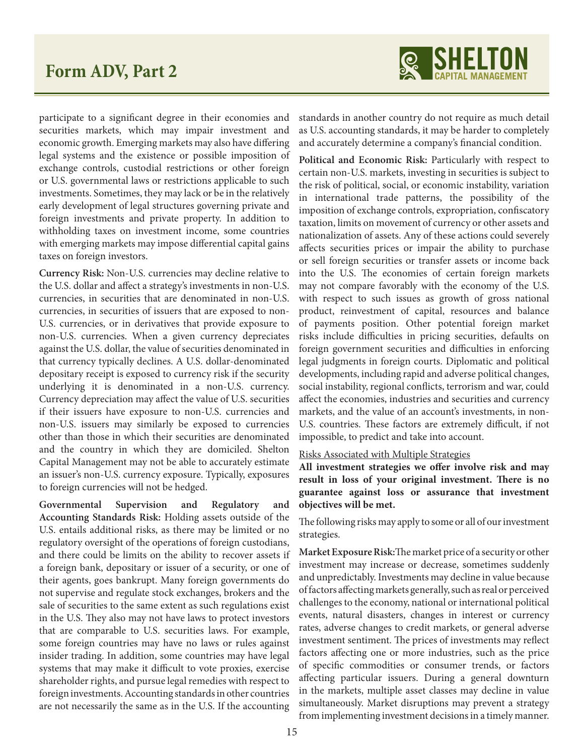

participate to a significant degree in their economies and securities markets, which may impair investment and economic growth. Emerging markets may also have differing legal systems and the existence or possible imposition of exchange controls, custodial restrictions or other foreign or U.S. governmental laws or restrictions applicable to such investments. Sometimes, they may lack or be in the relatively early development of legal structures governing private and foreign investments and private property. In addition to withholding taxes on investment income, some countries with emerging markets may impose differential capital gains taxes on foreign investors.

**Currency Risk:** Non-U.S. currencies may decline relative to the U.S. dollar and affect a strategy's investments in non-U.S. currencies, in securities that are denominated in non-U.S. currencies, in securities of issuers that are exposed to non-U.S. currencies, or in derivatives that provide exposure to non-U.S. currencies. When a given currency depreciates against the U.S. dollar, the value of securities denominated in that currency typically declines. A U.S. dollar-denominated depositary receipt is exposed to currency risk if the security underlying it is denominated in a non-U.S. currency. Currency depreciation may affect the value of U.S. securities if their issuers have exposure to non-U.S. currencies and non-U.S. issuers may similarly be exposed to currencies other than those in which their securities are denominated and the country in which they are domiciled. Shelton Capital Management may not be able to accurately estimate an issuer's non-U.S. currency exposure. Typically, exposures to foreign currencies will not be hedged.

**Governmental Supervision and Regulatory and Accounting Standards Risk:** Holding assets outside of the U.S. entails additional risks, as there may be limited or no regulatory oversight of the operations of foreign custodians, and there could be limits on the ability to recover assets if a foreign bank, depositary or issuer of a security, or one of their agents, goes bankrupt. Many foreign governments do not supervise and regulate stock exchanges, brokers and the sale of securities to the same extent as such regulations exist in the U.S. They also may not have laws to protect investors that are comparable to U.S. securities laws. For example, some foreign countries may have no laws or rules against insider trading. In addition, some countries may have legal systems that may make it difficult to vote proxies, exercise shareholder rights, and pursue legal remedies with respect to foreign investments. Accounting standards in other countries are not necessarily the same as in the U.S. If the accounting

standards in another country do not require as much detail as U.S. accounting standards, it may be harder to completely and accurately determine a company's financial condition.

**Political and Economic Risk:** Particularly with respect to certain non-U.S. markets, investing in securities is subject to the risk of political, social, or economic instability, variation in international trade patterns, the possibility of the imposition of exchange controls, expropriation, confiscatory taxation, limits on movement of currency or other assets and nationalization of assets. Any of these actions could severely affects securities prices or impair the ability to purchase or sell foreign securities or transfer assets or income back into the U.S. The economies of certain foreign markets may not compare favorably with the economy of the U.S. with respect to such issues as growth of gross national product, reinvestment of capital, resources and balance of payments position. Other potential foreign market risks include difficulties in pricing securities, defaults on foreign government securities and difficulties in enforcing legal judgments in foreign courts. Diplomatic and political developments, including rapid and adverse political changes, social instability, regional conflicts, terrorism and war, could affect the economies, industries and securities and currency markets, and the value of an account's investments, in non-U.S. countries. These factors are extremely difficult, if not impossible, to predict and take into account.

#### Risks Associated with Multiple Strategies

**All investment strategies we offer involve risk and may result in loss of your original investment. There is no guarantee against loss or assurance that investment objectives will be met.** 

The following risks may apply to some or all of our investment strategies.

**Market Exposure Risk:**The market price of a security or other investment may increase or decrease, sometimes suddenly and unpredictably. Investments may decline in value because of factors affecting markets generally, such as real or perceived challenges to the economy, national or international political events, natural disasters, changes in interest or currency rates, adverse changes to credit markets, or general adverse investment sentiment. The prices of investments may reflect factors affecting one or more industries, such as the price of specific commodities or consumer trends, or factors affecting particular issuers. During a general downturn in the markets, multiple asset classes may decline in value simultaneously. Market disruptions may prevent a strategy from implementing investment decisions in a timely manner.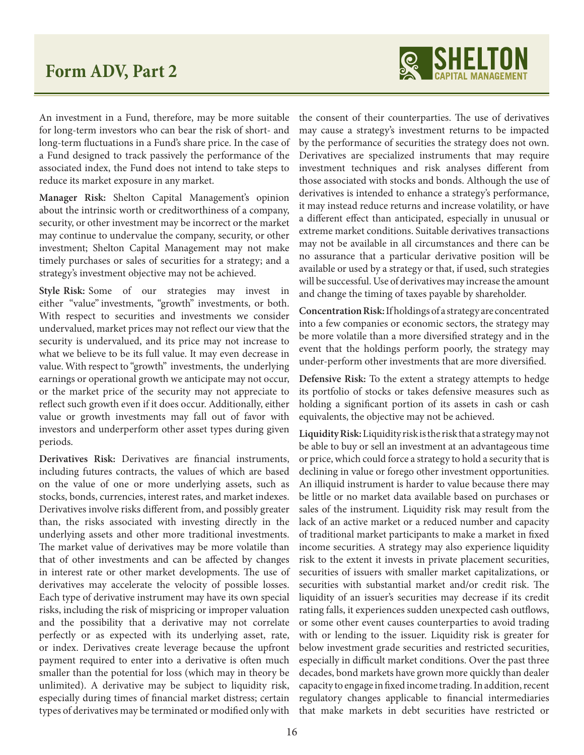

An investment in a Fund, therefore, may be more suitable for long-term investors who can bear the risk of short- and long-term fluctuations in a Fund's share price. In the case of a Fund designed to track passively the performance of the associated index, the Fund does not intend to take steps to reduce its market exposure in any market.

**Manager Risk:** Shelton Capital Management's opinion about the intrinsic worth or creditworthiness of a company, security, or other investment may be incorrect or the market may continue to undervalue the company, security, or other investment; Shelton Capital Management may not make timely purchases or sales of securities for a strategy; and a strategy's investment objective may not be achieved.

**Style Risk:** Some of our strategies may invest in either "value" investments, "growth" investments, or both. With respect to securities and investments we consider undervalued, market prices may not reflect our view that the security is undervalued, and its price may not increase to what we believe to be its full value. It may even decrease in value. With respect to "growth" investments, the underlying earnings or operational growth we anticipate may not occur, or the market price of the security may not appreciate to reflect such growth even if it does occur. Additionally, either value or growth investments may fall out of favor with investors and underperform other asset types during given periods.

**Derivatives Risk:** Derivatives are financial instruments, including futures contracts, the values of which are based on the value of one or more underlying assets, such as stocks, bonds, currencies, interest rates, and market indexes. Derivatives involve risks different from, and possibly greater than, the risks associated with investing directly in the underlying assets and other more traditional investments. The market value of derivatives may be more volatile than that of other investments and can be affected by changes in interest rate or other market developments. The use of derivatives may accelerate the velocity of possible losses. Each type of derivative instrument may have its own special risks, including the risk of mispricing or improper valuation and the possibility that a derivative may not correlate perfectly or as expected with its underlying asset, rate, or index. Derivatives create leverage because the upfront payment required to enter into a derivative is often much smaller than the potential for loss (which may in theory be unlimited). A derivative may be subject to liquidity risk, especially during times of financial market distress; certain types of derivatives may be terminated or modified only with

the consent of their counterparties. The use of derivatives may cause a strategy's investment returns to be impacted by the performance of securities the strategy does not own. Derivatives are specialized instruments that may require investment techniques and risk analyses different from those associated with stocks and bonds. Although the use of derivatives is intended to enhance a strategy's performance, it may instead reduce returns and increase volatility, or have a different effect than anticipated, especially in unusual or extreme market conditions. Suitable derivatives transactions may not be available in all circumstances and there can be no assurance that a particular derivative position will be available or used by a strategy or that, if used, such strategies will be successful. Use of derivatives may increase the amount and change the timing of taxes payable by shareholder.

**Concentration Risk:** If holdings of a strategy are concentrated into a few companies or economic sectors, the strategy may be more volatile than a more diversified strategy and in the event that the holdings perform poorly, the strategy may under-perform other investments that are more diversified.

**Defensive Risk:** To the extent a strategy attempts to hedge its portfolio of stocks or takes defensive measures such as holding a significant portion of its assets in cash or cash equivalents, the objective may not be achieved.

**Liquidity Risk:** Liquidity risk is the risk that a strategy may not be able to buy or sell an investment at an advantageous time or price, which could force a strategy to hold a security that is declining in value or forego other investment opportunities. An illiquid instrument is harder to value because there may be little or no market data available based on purchases or sales of the instrument. Liquidity risk may result from the lack of an active market or a reduced number and capacity of traditional market participants to make a market in fixed income securities. A strategy may also experience liquidity risk to the extent it invests in private placement securities, securities of issuers with smaller market capitalizations, or securities with substantial market and/or credit risk. The liquidity of an issuer's securities may decrease if its credit rating falls, it experiences sudden unexpected cash outflows, or some other event causes counterparties to avoid trading with or lending to the issuer. Liquidity risk is greater for below investment grade securities and restricted securities, especially in difficult market conditions. Over the past three decades, bond markets have grown more quickly than dealer capacity to engage in fixed income trading. In addition, recent regulatory changes applicable to financial intermediaries that make markets in debt securities have restricted or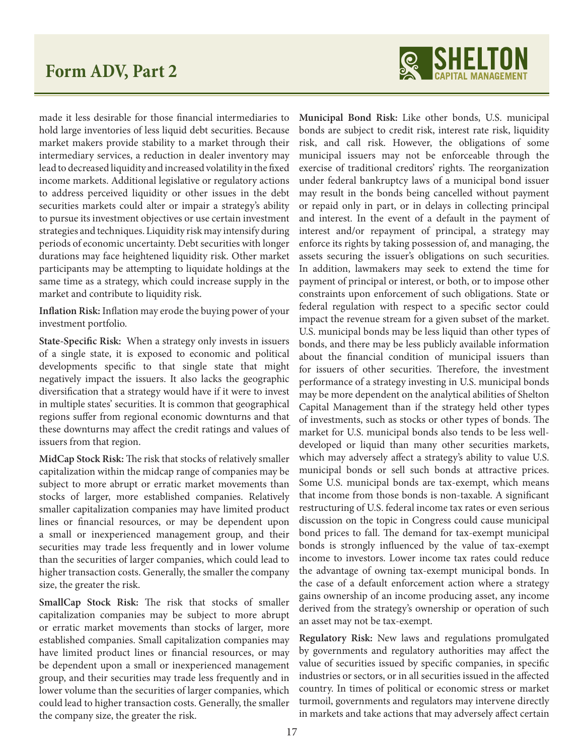

made it less desirable for those financial intermediaries to hold large inventories of less liquid debt securities. Because market makers provide stability to a market through their intermediary services, a reduction in dealer inventory may lead to decreased liquidity and increased volatility in the fixed income markets. Additional legislative or regulatory actions to address perceived liquidity or other issues in the debt securities markets could alter or impair a strategy's ability to pursue its investment objectives or use certain investment strategies and techniques. Liquidity risk may intensify during periods of economic uncertainty. Debt securities with longer durations may face heightened liquidity risk. Other market participants may be attempting to liquidate holdings at the same time as a strategy, which could increase supply in the market and contribute to liquidity risk.

**Inflation Risk:** Inflation may erode the buying power of your investment portfolio.

**State-Specific Risk:** When a strategy only invests in issuers of a single state, it is exposed to economic and political developments specific to that single state that might negatively impact the issuers. It also lacks the geographic diversification that a strategy would have if it were to invest in multiple states' securities. It is common that geographical regions suffer from regional economic downturns and that these downturns may affect the credit ratings and values of issuers from that region.

**MidCap Stock Risk:** The risk that stocks of relatively smaller capitalization within the midcap range of companies may be subject to more abrupt or erratic market movements than stocks of larger, more established companies. Relatively smaller capitalization companies may have limited product lines or financial resources, or may be dependent upon a small or inexperienced management group, and their securities may trade less frequently and in lower volume than the securities of larger companies, which could lead to higher transaction costs. Generally, the smaller the company size, the greater the risk.

**SmallCap Stock Risk:** The risk that stocks of smaller capitalization companies may be subject to more abrupt or erratic market movements than stocks of larger, more established companies. Small capitalization companies may have limited product lines or financial resources, or may be dependent upon a small or inexperienced management group, and their securities may trade less frequently and in lower volume than the securities of larger companies, which could lead to higher transaction costs. Generally, the smaller the company size, the greater the risk.

**Municipal Bond Risk:** Like other bonds, U.S. municipal bonds are subject to credit risk, interest rate risk, liquidity risk, and call risk. However, the obligations of some municipal issuers may not be enforceable through the exercise of traditional creditors' rights. The reorganization under federal bankruptcy laws of a municipal bond issuer may result in the bonds being cancelled without payment or repaid only in part, or in delays in collecting principal and interest. In the event of a default in the payment of interest and/or repayment of principal, a strategy may enforce its rights by taking possession of, and managing, the assets securing the issuer's obligations on such securities. In addition, lawmakers may seek to extend the time for payment of principal or interest, or both, or to impose other constraints upon enforcement of such obligations. State or federal regulation with respect to a specific sector could impact the revenue stream for a given subset of the market. U.S. municipal bonds may be less liquid than other types of bonds, and there may be less publicly available information about the financial condition of municipal issuers than for issuers of other securities. Therefore, the investment performance of a strategy investing in U.S. municipal bonds may be more dependent on the analytical abilities of Shelton Capital Management than if the strategy held other types of investments, such as stocks or other types of bonds. The market for U.S. municipal bonds also tends to be less welldeveloped or liquid than many other securities markets, which may adversely affect a strategy's ability to value U.S. municipal bonds or sell such bonds at attractive prices. Some U.S. municipal bonds are tax-exempt, which means that income from those bonds is non-taxable. A significant restructuring of U.S. federal income tax rates or even serious discussion on the topic in Congress could cause municipal bond prices to fall. The demand for tax-exempt municipal bonds is strongly influenced by the value of tax-exempt income to investors. Lower income tax rates could reduce the advantage of owning tax-exempt municipal bonds. In the case of a default enforcement action where a strategy gains ownership of an income producing asset, any income derived from the strategy's ownership or operation of such an asset may not be tax-exempt.

**Regulatory Risk:** New laws and regulations promulgated by governments and regulatory authorities may affect the value of securities issued by specific companies, in specific industries or sectors, or in all securities issued in the affected country. In times of political or economic stress or market turmoil, governments and regulators may intervene directly in markets and take actions that may adversely affect certain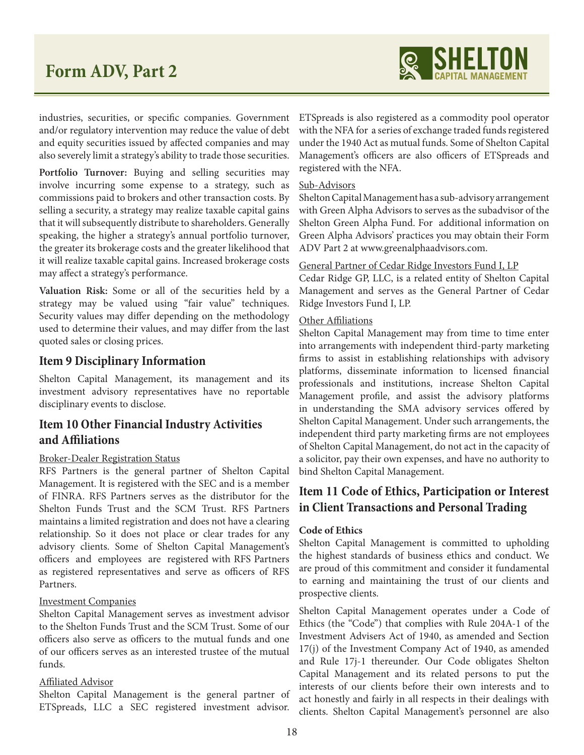

industries, securities, or specific companies. Government and/or regulatory intervention may reduce the value of debt and equity securities issued by affected companies and may also severely limit a strategy's ability to trade those securities.

**Portfolio Turnover:** Buying and selling securities may involve incurring some expense to a strategy, such as commissions paid to brokers and other transaction costs. By selling a security, a strategy may realize taxable capital gains that it will subsequently distribute to shareholders. Generally speaking, the higher a strategy's annual portfolio turnover, the greater its brokerage costs and the greater likelihood that it will realize taxable capital gains. Increased brokerage costs may affect a strategy's performance.

**Valuation Risk:** Some or all of the securities held by a strategy may be valued using "fair value" techniques. Security values may differ depending on the methodology used to determine their values, and may differ from the last quoted sales or closing prices.

## **Item 9 Disciplinary Information**

Shelton Capital Management, its management and its investment advisory representatives have no reportable disciplinary events to disclose.

## **Item 10 Other Financial Industry Activities and Affiliations**

#### Broker-Dealer Registration Status

RFS Partners is the general partner of Shelton Capital Management. It is registered with the SEC and is a member of FINRA. RFS Partners serves as the distributor for the Shelton Funds Trust and the SCM Trust. RFS Partners maintains a limited registration and does not have a clearing relationship. So it does not place or clear trades for any advisory clients. Some of Shelton Capital Management's officers and employees are registered with RFS Partners as registered representatives and serve as officers of RFS Partners.

#### Investment Companies

Shelton Capital Management serves as investment advisor to the Shelton Funds Trust and the SCM Trust. Some of our officers also serve as officers to the mutual funds and one of our officers serves as an interested trustee of the mutual funds.

#### Affiliated Advisor

Shelton Capital Management is the general partner of ETSpreads, LLC a SEC registered investment advisor.

ETSpreads is also registered as a commodity pool operator with the NFA for a series of exchange traded funds registered under the 1940 Act as mutual funds. Some of Shelton Capital Management's officers are also officers of ETSpreads and registered with the NFA.

#### Sub-Advisors

Shelton Capital Management has a sub-advisory arrangement with Green Alpha Advisors to serves as the subadvisor of the Shelton Green Alpha Fund. For additional information on Green Alpha Advisors' practices you may obtain their Form ADV Part 2 at www.greenalphaadvisors.com.

#### General Partner of Cedar Ridge Investors Fund I, LP

Cedar Ridge GP, LLC, is a related entity of Shelton Capital Management and serves as the General Partner of Cedar Ridge Investors Fund I, LP.

#### Other Affiliations

Shelton Capital Management may from time to time enter into arrangements with independent third-party marketing firms to assist in establishing relationships with advisory platforms, disseminate information to licensed financial professionals and institutions, increase Shelton Capital Management profile, and assist the advisory platforms in understanding the SMA advisory services offered by Shelton Capital Management. Under such arrangements, the independent third party marketing firms are not employees of Shelton Capital Management, do not act in the capacity of a solicitor, pay their own expenses, and have no authority to bind Shelton Capital Management.

## **Item 11 Code of Ethics, Participation or Interest in Client Transactions and Personal Trading**

#### **Code of Ethics**

Shelton Capital Management is committed to upholding the highest standards of business ethics and conduct. We are proud of this commitment and consider it fundamental to earning and maintaining the trust of our clients and prospective clients.

Shelton Capital Management operates under a Code of Ethics (the "Code") that complies with Rule 204A-1 of the Investment Advisers Act of 1940, as amended and Section 17(j) of the Investment Company Act of 1940, as amended and Rule 17j-1 thereunder. Our Code obligates Shelton Capital Management and its related persons to put the interests of our clients before their own interests and to act honestly and fairly in all respects in their dealings with clients. Shelton Capital Management's personnel are also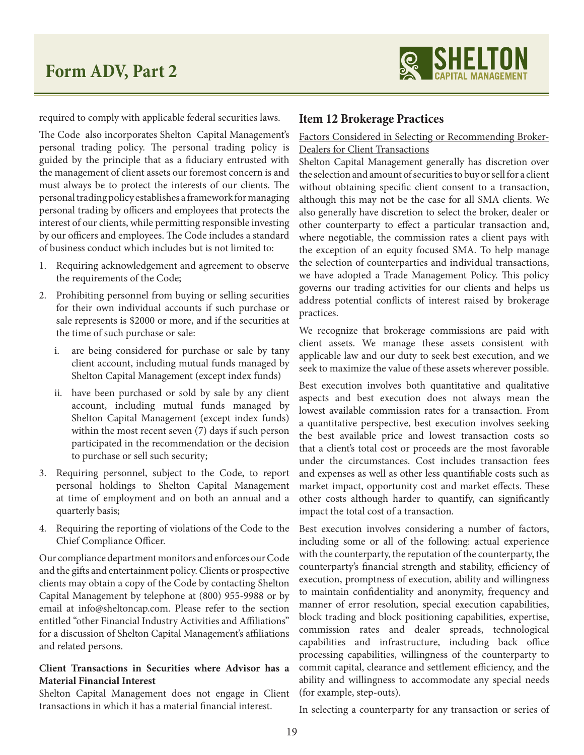

required to comply with applicable federal securities laws.

The Code also incorporates Shelton Capital Management's personal trading policy. The personal trading policy is guided by the principle that as a fiduciary entrusted with the management of client assets our foremost concern is and must always be to protect the interests of our clients. The personal trading policy establishes a framework for managing personal trading by officers and employees that protects the interest of our clients, while permitting responsible investing by our officers and employees. The Code includes a standard of business conduct which includes but is not limited to:

- 1. Requiring acknowledgement and agreement to observe the requirements of the Code;
- 2. Prohibiting personnel from buying or selling securities for their own individual accounts if such purchase or sale represents is \$2000 or more, and if the securities at the time of such purchase or sale:
	- i. are being considered for purchase or sale by tany client account, including mutual funds managed by Shelton Capital Management (except index funds)
	- ii. have been purchased or sold by sale by any client account, including mutual funds managed by Shelton Capital Management (except index funds) within the most recent seven (7) days if such person participated in the recommendation or the decision to purchase or sell such security;
- 3. Requiring personnel, subject to the Code, to report personal holdings to Shelton Capital Management at time of employment and on both an annual and a quarterly basis;
- 4. Requiring the reporting of violations of the Code to the Chief Compliance Officer.

Our compliance department monitors and enforces our Code and the gifts and entertainment policy. Clients or prospective clients may obtain a copy of the Code by contacting Shelton Capital Management by telephone at (800) 955-9988 or by email at info@sheltoncap.com. Please refer to the section entitled "other Financial Industry Activities and Affiliations" for a discussion of Shelton Capital Management's affiliations and related persons.

## **Client Transactions in Securities where Advisor has a Material Financial Interest**

Shelton Capital Management does not engage in Client transactions in which it has a material financial interest.

## **Item 12 Brokerage Practices**

Factors Considered in Selecting or Recommending Broker-Dealers for Client Transactions

Shelton Capital Management generally has discretion over the selection and amount of securities to buy or sell for a client without obtaining specific client consent to a transaction, although this may not be the case for all SMA clients. We also generally have discretion to select the broker, dealer or other counterparty to effect a particular transaction and, where negotiable, the commission rates a client pays with the exception of an equity focused SMA. To help manage the selection of counterparties and individual transactions, we have adopted a Trade Management Policy. This policy governs our trading activities for our clients and helps us address potential conflicts of interest raised by brokerage practices.

We recognize that brokerage commissions are paid with client assets. We manage these assets consistent with applicable law and our duty to seek best execution, and we seek to maximize the value of these assets wherever possible.

Best execution involves both quantitative and qualitative aspects and best execution does not always mean the lowest available commission rates for a transaction. From a quantitative perspective, best execution involves seeking the best available price and lowest transaction costs so that a client's total cost or proceeds are the most favorable under the circumstances. Cost includes transaction fees and expenses as well as other less quantifiable costs such as market impact, opportunity cost and market effects. These other costs although harder to quantify, can significantly impact the total cost of a transaction.

Best execution involves considering a number of factors, including some or all of the following: actual experience with the counterparty, the reputation of the counterparty, the counterparty's financial strength and stability, efficiency of execution, promptness of execution, ability and willingness to maintain confidentiality and anonymity, frequency and manner of error resolution, special execution capabilities, block trading and block positioning capabilities, expertise, commission rates and dealer spreads, technological capabilities and infrastructure, including back office processing capabilities, willingness of the counterparty to commit capital, clearance and settlement efficiency, and the ability and willingness to accommodate any special needs (for example, step-outs).

In selecting a counterparty for any transaction or series of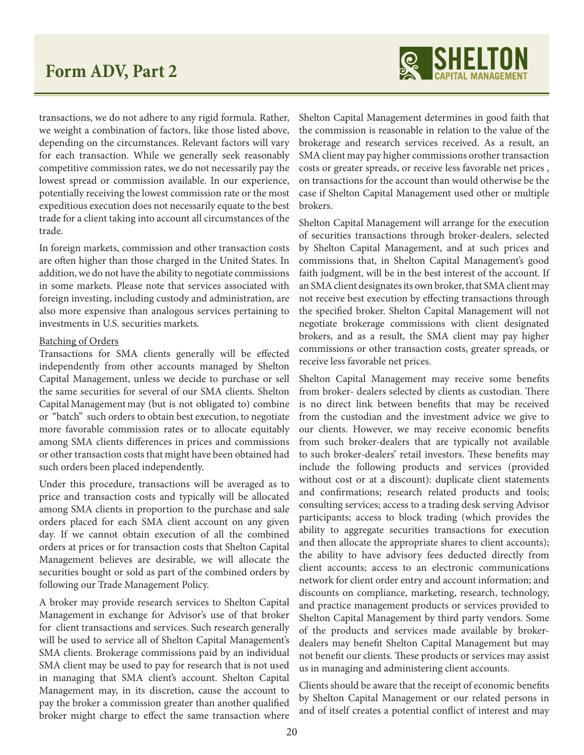

transactions, we do not adhere to any rigid formula. Rather, we weight a combination of factors, like those listed above, depending on the circumstances. Relevant factors will vary for each transaction. While we generally seek reasonably competitive commission rates, we do not necessarily pay the lowest spread or commission available. In our experience, potentially receiving the lowest commission rate or the most expeditious execution does not necessarily equate to the best trade for a client taking into account all circumstances of the trade.

In foreign markets, commission and other transaction costs are often higher than those charged in the United States. In addition, we do not have the ability to negotiate commissions in some markets. Please note that services associated with foreign investing, including custody and administration, are also more expensive than analogous services pertaining to investments in U.S. securities markets.

#### Batching of Orders

Transactions for SMA clients generally will be effected independently from other accounts managed by Shelton Capital Management, unless we decide to purchase or sell the same securities for several of our SMA clients. Shelton Capital Management may (but is not obligated to) combine or "batch" such orders to obtain best execution, to negotiate more favorable commission rates or to allocate equitably among SMA clients differences in prices and commissions or other transaction costs that might have been obtained had such orders been placed independently.

Under this procedure, transactions will be averaged as to price and transaction costs and typically will be allocated among SMA clients in proportion to the purchase and sale orders placed for each SMA client account on any given day. If we cannot obtain execution of all the combined orders at prices or for transaction costs that Shelton Capital Management believes are desirable, we will allocate the securities bought or sold as part of the combined orders by following our Trade Management Policy.

A broker may provide research services to Shelton Capital Management in exchange for Advisor's use of that broker for client transactions and services. Such research generally will be used to service all of Shelton Capital Management's SMA clients. Brokerage commissions paid by an individual SMA client may be used to pay for research that is not used in managing that SMA client's account. Shelton Capital Management may, in its discretion, cause the account to pay the broker a commission greater than another qualified broker might charge to effect the same transaction where Shelton Capital Management determines in good faith that the commission is reasonable in relation to the value of the brokerage and research services received. As a result, an SMA client may pay higher commissions orother transaction costs or greater spreads, or receive less favorable net prices , on transactions for the account than would otherwise be the case if Shelton Capital Management used other or multiple brokers.

Shelton Capital Management will arrange for the execution of securities transactions through broker-dealers, selected by Shelton Capital Management, and at such prices and commissions that, in Shelton Capital Management's good faith judgment, will be in the best interest of the account. If an SMA client designates its own broker, that SMA client may not receive best execution by effecting transactions through the specified broker. Shelton Capital Management will not negotiate brokerage commissions with client designated brokers, and as a result, the SMA client may pay higher commissions or other transaction costs, greater spreads, or receive less favorable net prices.

Shelton Capital Management may receive some benefits from broker- dealers selected by clients as custodian. There is no direct link between benefits that may be received from the custodian and the investment advice we give to our clients. However, we may receive economic benefits from such broker-dealers that are typically not available to such broker-dealers' retail investors. These benefits may include the following products and services (provided without cost or at a discount): duplicate client statements and confirmations; research related products and tools; consulting services; access to a trading desk serving Advisor participants; access to block trading (which provides the ability to aggregate securities transactions for execution and then allocate the appropriate shares to client accounts); the ability to have advisory fees deducted directly from client accounts; access to an electronic communications network for client order entry and account information; and discounts on compliance, marketing, research, technology, and practice management products or services provided to Shelton Capital Management by third party vendors. Some of the products and services made available by brokerdealers may benefit Shelton Capital Management but may not benefit our clients. These products or services may assist us in managing and administering client accounts.

Clients should be aware that the receipt of economic benefits by Shelton Capital Management or our related persons in and of itself creates a potential conflict of interest and may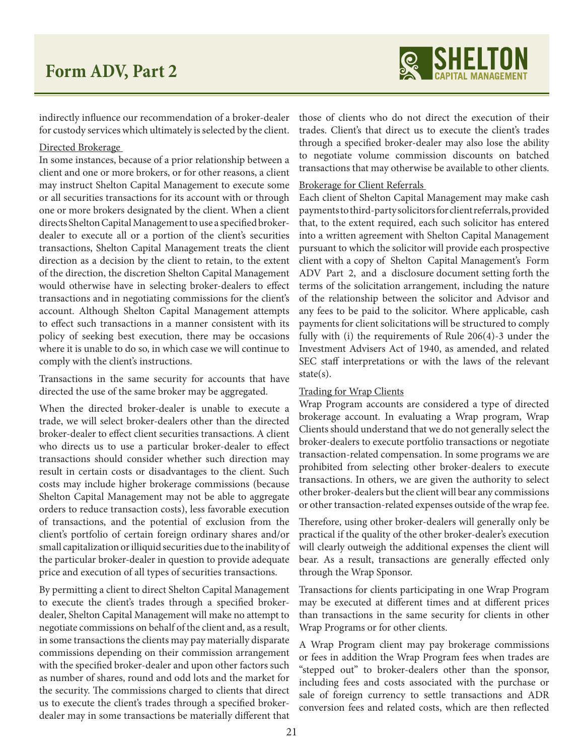

indirectly influence our recommendation of a broker-dealer for custody services which ultimately is selected by the client.

#### Directed Brokerage

In some instances, because of a prior relationship between a client and one or more brokers, or for other reasons, a client may instruct Shelton Capital Management to execute some or all securities transactions for its account with or through one or more brokers designated by the client. When a client directs Shelton Capital Management to use a specified brokerdealer to execute all or a portion of the client's securities transactions, Shelton Capital Management treats the client direction as a decision by the client to retain, to the extent of the direction, the discretion Shelton Capital Management would otherwise have in selecting broker-dealers to effect transactions and in negotiating commissions for the client's account. Although Shelton Capital Management attempts to effect such transactions in a manner consistent with its policy of seeking best execution, there may be occasions where it is unable to do so, in which case we will continue to comply with the client's instructions.

Transactions in the same security for accounts that have directed the use of the same broker may be aggregated.

When the directed broker-dealer is unable to execute a trade, we will select broker-dealers other than the directed broker-dealer to effect client securities transactions. A client who directs us to use a particular broker-dealer to effect transactions should consider whether such direction may result in certain costs or disadvantages to the client. Such costs may include higher brokerage commissions (because Shelton Capital Management may not be able to aggregate orders to reduce transaction costs), less favorable execution of transactions, and the potential of exclusion from the client's portfolio of certain foreign ordinary shares and/or small capitalization or illiquid securities due to the inability of the particular broker-dealer in question to provide adequate price and execution of all types of securities transactions.

By permitting a client to direct Shelton Capital Management to execute the client's trades through a specified brokerdealer, Shelton Capital Management will make no attempt to negotiate commissions on behalf of the client and, as a result, in some transactions the clients may pay materially disparate commissions depending on their commission arrangement with the specified broker-dealer and upon other factors such as number of shares, round and odd lots and the market for the security. The commissions charged to clients that direct us to execute the client's trades through a specified brokerdealer may in some transactions be materially different that

those of clients who do not direct the execution of their trades. Client's that direct us to execute the client's trades through a specified broker-dealer may also lose the ability to negotiate volume commission discounts on batched transactions that may otherwise be available to other clients.

#### Brokerage for Client Referrals

Each client of Shelton Capital Management may make cash payments to third-party solicitors for client referrals, provided that, to the extent required, each such solicitor has entered into a written agreement with Shelton Capital Management pursuant to which the solicitor will provide each prospective client with a copy of Shelton Capital Management's Form ADV Part 2, and a disclosure document setting forth the terms of the solicitation arrangement, including the nature of the relationship between the solicitor and Advisor and any fees to be paid to the solicitor. Where applicable, cash payments for client solicitations will be structured to comply fully with (i) the requirements of Rule 206(4)-3 under the Investment Advisers Act of 1940, as amended, and related SEC staff interpretations or with the laws of the relevant state(s).

#### Trading for Wrap Clients

Wrap Program accounts are considered a type of directed brokerage account. In evaluating a Wrap program, Wrap Clients should understand that we do not generally select the broker-dealers to execute portfolio transactions or negotiate transaction-related compensation. In some programs we are prohibited from selecting other broker-dealers to execute transactions. In others, we are given the authority to select other broker-dealers but the client will bear any commissions or other transaction-related expenses outside of the wrap fee.

Therefore, using other broker-dealers will generally only be practical if the quality of the other broker-dealer's execution will clearly outweigh the additional expenses the client will bear. As a result, transactions are generally effected only through the Wrap Sponsor.

Transactions for clients participating in one Wrap Program may be executed at different times and at different prices than transactions in the same security for clients in other Wrap Programs or for other clients.

A Wrap Program client may pay brokerage commissions or fees in addition the Wrap Program fees when trades are "stepped out" to broker-dealers other than the sponsor, including fees and costs associated with the purchase or sale of foreign currency to settle transactions and ADR conversion fees and related costs, which are then reflected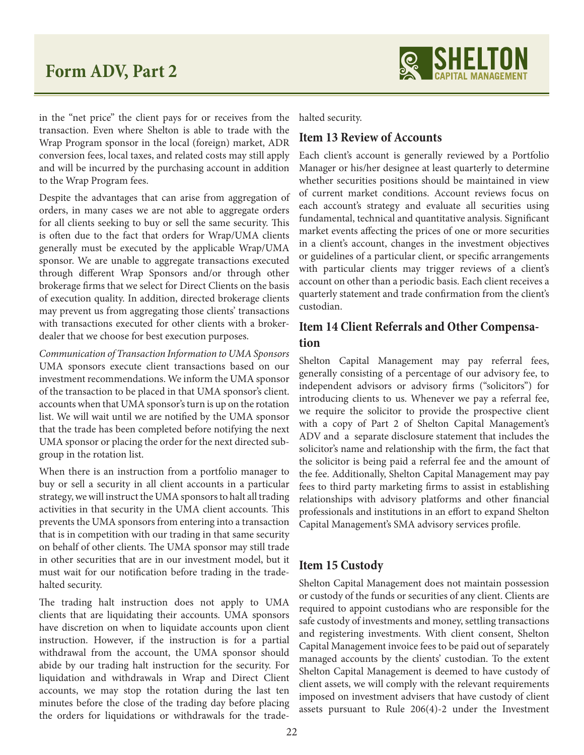

in the "net price" the client pays for or receives from the transaction. Even where Shelton is able to trade with the Wrap Program sponsor in the local (foreign) market, ADR conversion fees, local taxes, and related costs may still apply and will be incurred by the purchasing account in addition to the Wrap Program fees.

Despite the advantages that can arise from aggregation of orders, in many cases we are not able to aggregate orders for all clients seeking to buy or sell the same security. This is often due to the fact that orders for Wrap/UMA clients generally must be executed by the applicable Wrap/UMA sponsor. We are unable to aggregate transactions executed through different Wrap Sponsors and/or through other brokerage firms that we select for Direct Clients on the basis of execution quality. In addition, directed brokerage clients may prevent us from aggregating those clients' transactions with transactions executed for other clients with a brokerdealer that we choose for best execution purposes.

*Communication of Transaction Information to UMA Sponsors* UMA sponsors execute client transactions based on our investment recommendations. We inform the UMA sponsor of the transaction to be placed in that UMA sponsor's client. accounts when that UMA sponsor's turn is up on the rotation list. We will wait until we are notified by the UMA sponsor that the trade has been completed before notifying the next UMA sponsor or placing the order for the next directed subgroup in the rotation list.

When there is an instruction from a portfolio manager to buy or sell a security in all client accounts in a particular strategy, we will instruct the UMA sponsors to halt all trading activities in that security in the UMA client accounts. This prevents the UMA sponsors from entering into a transaction that is in competition with our trading in that same security on behalf of other clients. The UMA sponsor may still trade in other securities that are in our investment model, but it must wait for our notification before trading in the tradehalted security.

The trading halt instruction does not apply to UMA clients that are liquidating their accounts. UMA sponsors have discretion on when to liquidate accounts upon client instruction. However, if the instruction is for a partial withdrawal from the account, the UMA sponsor should abide by our trading halt instruction for the security. For liquidation and withdrawals in Wrap and Direct Client accounts, we may stop the rotation during the last ten minutes before the close of the trading day before placing the orders for liquidations or withdrawals for the trade-

halted security.

#### **Item 13 Review of Accounts**

Each client's account is generally reviewed by a Portfolio Manager or his/her designee at least quarterly to determine whether securities positions should be maintained in view of current market conditions. Account reviews focus on each account's strategy and evaluate all securities using fundamental, technical and quantitative analysis. Significant market events affecting the prices of one or more securities in a client's account, changes in the investment objectives or guidelines of a particular client, or specific arrangements with particular clients may trigger reviews of a client's account on other than a periodic basis. Each client receives a quarterly statement and trade confirmation from the client's custodian.

## **Item 14 Client Referrals and Other Compensation**

Shelton Capital Management may pay referral fees, generally consisting of a percentage of our advisory fee, to independent advisors or advisory firms ("solicitors") for introducing clients to us. Whenever we pay a referral fee, we require the solicitor to provide the prospective client with a copy of Part 2 of Shelton Capital Management's ADV and a separate disclosure statement that includes the solicitor's name and relationship with the firm, the fact that the solicitor is being paid a referral fee and the amount of the fee. Additionally, Shelton Capital Management may pay fees to third party marketing firms to assist in establishing relationships with advisory platforms and other financial professionals and institutions in an effort to expand Shelton Capital Management's SMA advisory services profile.

## **Item 15 Custody**

Shelton Capital Management does not maintain possession or custody of the funds or securities of any client. Clients are required to appoint custodians who are responsible for the safe custody of investments and money, settling transactions and registering investments. With client consent, Shelton Capital Management invoice fees to be paid out of separately managed accounts by the clients' custodian. To the extent Shelton Capital Management is deemed to have custody of client assets, we will comply with the relevant requirements imposed on investment advisers that have custody of client assets pursuant to Rule 206(4)-2 under the Investment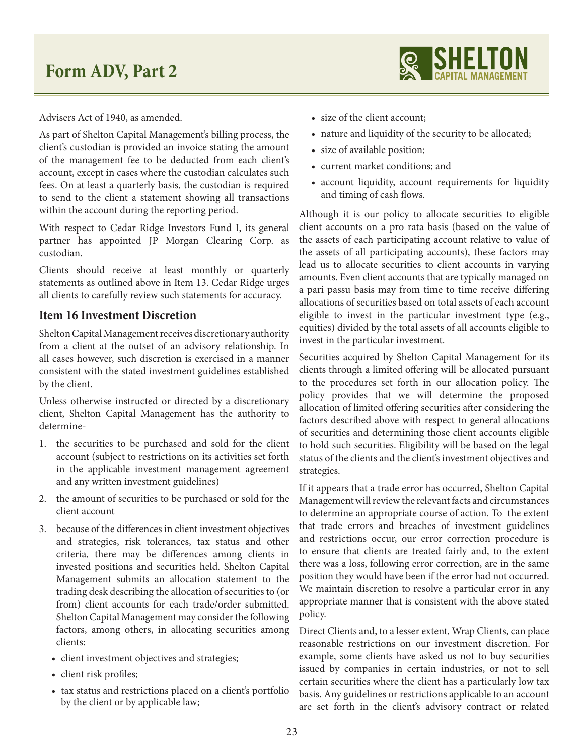

Advisers Act of 1940, as amended.

As part of Shelton Capital Management's billing process, the client's custodian is provided an invoice stating the amount of the management fee to be deducted from each client's account, except in cases where the custodian calculates such fees. On at least a quarterly basis, the custodian is required to send to the client a statement showing all transactions within the account during the reporting period.

With respect to Cedar Ridge Investors Fund I, its general partner has appointed JP Morgan Clearing Corp. as custodian.

Clients should receive at least monthly or quarterly statements as outlined above in Item 13. Cedar Ridge urges all clients to carefully review such statements for accuracy.

## **Item 16 Investment Discretion**

Shelton Capital Management receives discretionary authority from a client at the outset of an advisory relationship. In all cases however, such discretion is exercised in a manner consistent with the stated investment guidelines established by the client.

Unless otherwise instructed or directed by a discretionary client, Shelton Capital Management has the authority to determine-

- 1. the securities to be purchased and sold for the client account (subject to restrictions on its activities set forth in the applicable investment management agreement and any written investment guidelines)
- 2. the amount of securities to be purchased or sold for the client account
- 3. because of the differences in client investment objectives and strategies, risk tolerances, tax status and other criteria, there may be differences among clients in invested positions and securities held. Shelton Capital Management submits an allocation statement to the trading desk describing the allocation of securities to (or from) client accounts for each trade/order submitted. Shelton Capital Management may consider the following factors, among others, in allocating securities among clients:
	- client investment objectives and strategies;
	- client risk profiles;
	- tax status and restrictions placed on a client's portfolio by the client or by applicable law;
- size of the client account;
- nature and liquidity of the security to be allocated;
- size of available position;
- current market conditions; and
- account liquidity, account requirements for liquidity and timing of cash flows.

Although it is our policy to allocate securities to eligible client accounts on a pro rata basis (based on the value of the assets of each participating account relative to value of the assets of all participating accounts), these factors may lead us to allocate securities to client accounts in varying amounts. Even client accounts that are typically managed on a pari passu basis may from time to time receive differing allocations of securities based on total assets of each account eligible to invest in the particular investment type (e.g., equities) divided by the total assets of all accounts eligible to invest in the particular investment.

Securities acquired by Shelton Capital Management for its clients through a limited offering will be allocated pursuant to the procedures set forth in our allocation policy. The policy provides that we will determine the proposed allocation of limited offering securities after considering the factors described above with respect to general allocations of securities and determining those client accounts eligible to hold such securities. Eligibility will be based on the legal status of the clients and the client's investment objectives and strategies.

If it appears that a trade error has occurred, Shelton Capital Management will review the relevant facts and circumstances to determine an appropriate course of action. To the extent that trade errors and breaches of investment guidelines and restrictions occur, our error correction procedure is to ensure that clients are treated fairly and, to the extent there was a loss, following error correction, are in the same position they would have been if the error had not occurred. We maintain discretion to resolve a particular error in any appropriate manner that is consistent with the above stated policy.

Direct Clients and, to a lesser extent, Wrap Clients, can place reasonable restrictions on our investment discretion. For example, some clients have asked us not to buy securities issued by companies in certain industries, or not to sell certain securities where the client has a particularly low tax basis. Any guidelines or restrictions applicable to an account are set forth in the client's advisory contract or related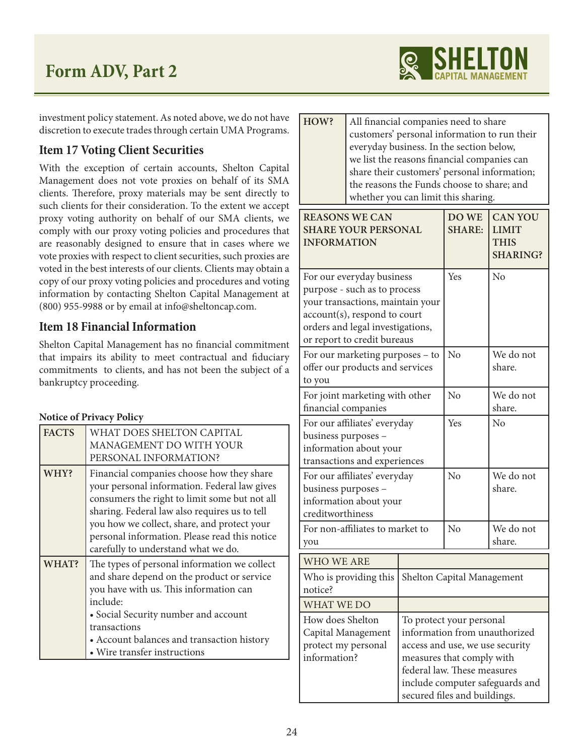

investment policy statement. As noted above, we do not have discretion to execute trades through certain UMA Programs.

## **Item 17 Voting Client Securities**

With the exception of certain accounts, Shelton Capital Management does not vote proxies on behalf of its SMA clients. Therefore, proxy materials may be sent directly to such clients for their consideration. To the extent we accept proxy voting authority on behalf of our SMA clients, we comply with our proxy voting policies and procedures that are reasonably designed to ensure that in cases where we vote proxies with respect to client securities, such proxies are voted in the best interests of our clients. Clients may obtain a copy of our proxy voting policies and procedures and voting information by contacting Shelton Capital Management at (800) 955-9988 or by email at info@sheltoncap.com.

## **Item 18 Financial Information**

Shelton Capital Management has no financial commitment that impairs its ability to meet contractual and fiduciary commitments to clients, and has not been the subject of a bankruptcy proceeding.

## **Notice of Privacy Policy**

| <b>FACTS</b> | WHAT DOES SHELTON CAPITAL<br>MANAGEMENT DO WITH YOUR<br>PERSONAL INFORMATION?                                                                                                                                                                                                                                                      |
|--------------|------------------------------------------------------------------------------------------------------------------------------------------------------------------------------------------------------------------------------------------------------------------------------------------------------------------------------------|
| WHY?         | Financial companies choose how they share<br>your personal information. Federal law gives<br>consumers the right to limit some but not all<br>sharing. Federal law also requires us to tell<br>you how we collect, share, and protect your<br>personal information. Please read this notice<br>carefully to understand what we do. |
| WHAT?        | The types of personal information we collect<br>and share depend on the product or service<br>you have with us. This information can<br>include:<br>• Social Security number and account<br>transactions<br>• Account balances and transaction history<br>• Wire transfer instructions                                             |

| HOW? | All financial companies need to share        |
|------|----------------------------------------------|
|      | customers' personal information to run their |
|      | everyday business. In the section below,     |
|      | we list the reasons financial companies can  |
|      | share their customers' personal information; |
|      | the reasons the Funds choose to share; and   |
|      | whether you can limit this sharing.          |

| <b>REASONS WE CAN</b><br><b>SHARE YOUR PERSONAL</b><br><b>INFORMATION</b>                                                                                                                        | DO WE<br><b>SHARE:</b>                                                                                                                                                                                                      | <b>CAN YOU</b><br><b>LIMIT</b><br><b>THIS</b><br><b>SHARING?</b> |                     |
|--------------------------------------------------------------------------------------------------------------------------------------------------------------------------------------------------|-----------------------------------------------------------------------------------------------------------------------------------------------------------------------------------------------------------------------------|------------------------------------------------------------------|---------------------|
| For our everyday business<br>purpose - such as to process<br>your transactions, maintain your<br>account(s), respond to court<br>orders and legal investigations,<br>or report to credit bureaus |                                                                                                                                                                                                                             | Yes                                                              | No                  |
| For our marketing purposes - to<br>offer our products and services<br>to you                                                                                                                     |                                                                                                                                                                                                                             | N <sub>o</sub>                                                   | We do not<br>share. |
| For joint marketing with other<br>financial companies                                                                                                                                            |                                                                                                                                                                                                                             | No                                                               | We do not<br>share. |
| For our affiliates' everyday<br>business purposes -<br>information about your<br>transactions and experiences                                                                                    |                                                                                                                                                                                                                             | Yes                                                              | N <sub>0</sub>      |
| For our affiliates' everyday<br>business purposes -<br>information about your<br>creditworthiness                                                                                                |                                                                                                                                                                                                                             | No                                                               | We do not<br>share. |
| For non-affiliates to market to<br>you                                                                                                                                                           |                                                                                                                                                                                                                             | N <sub>o</sub>                                                   | We do not<br>share. |
| <b>WHO WE ARE</b>                                                                                                                                                                                |                                                                                                                                                                                                                             |                                                                  |                     |
| Who is providing this<br>notice?                                                                                                                                                                 |                                                                                                                                                                                                                             | Shelton Capital Management                                       |                     |
| WHAT WE DO                                                                                                                                                                                       |                                                                                                                                                                                                                             |                                                                  |                     |
| How does Shelton<br>Capital Management<br>protect my personal<br>information?                                                                                                                    | To protect your personal<br>information from unauthorized<br>access and use, we use security<br>measures that comply with<br>federal law. These measures<br>include computer safeguards and<br>secured files and buildings. |                                                                  |                     |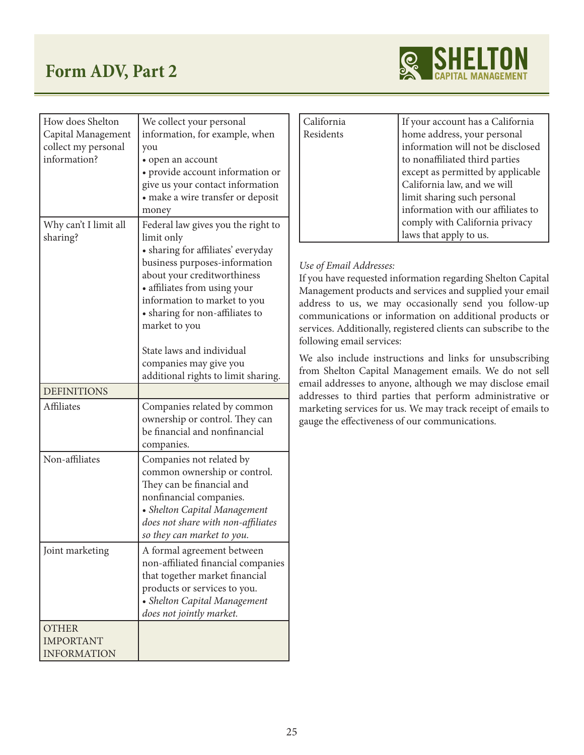

| How does Shelton      | We collect your personal                                        |
|-----------------------|-----------------------------------------------------------------|
| Capital Management    | information, for example, when                                  |
| collect my personal   | you                                                             |
| information?          | • open an account                                               |
|                       | · provide account information or                                |
|                       | give us your contact information                                |
|                       | • make a wire transfer or deposit<br>money                      |
| Why can't I limit all |                                                                 |
| sharing?              | Federal law gives you the right to<br>limit only                |
|                       | • sharing for affiliates' everyday                              |
|                       | business purposes-information                                   |
|                       | about your creditworthiness                                     |
|                       | • affiliates from using your                                    |
|                       | information to market to you                                    |
|                       | • sharing for non-affiliates to                                 |
|                       | market to you                                                   |
|                       | State laws and individual                                       |
|                       |                                                                 |
|                       | companies may give you<br>additional rights to limit sharing.   |
| <b>DEFINITIONS</b>    |                                                                 |
|                       |                                                                 |
| <b>Affiliates</b>     | Companies related by common                                     |
|                       | ownership or control. They can<br>be financial and nonfinancial |
|                       | companies.                                                      |
| Non-affiliates        | Companies not related by                                        |
|                       | common ownership or control.                                    |
|                       | They can be financial and                                       |
|                       | nonfinancial companies.                                         |
|                       | • Shelton Capital Management                                    |
|                       | does not share with non-affiliates                              |
|                       | so they can market to you.                                      |
| Joint marketing       | A formal agreement between                                      |
|                       | non-affiliated financial companies                              |
|                       | that together market financial                                  |
|                       | products or services to you.                                    |
|                       | • Shelton Capital Management                                    |
|                       | does not jointly market.                                        |
| <b>OTHER</b>          |                                                                 |
| <b>IMPORTANT</b>      |                                                                 |
| <b>INFORMATION</b>    |                                                                 |

| California | If your account has a California   |
|------------|------------------------------------|
| Residents  | home address, your personal        |
|            | information will not be disclosed  |
|            | to nonaffiliated third parties     |
|            | except as permitted by applicable  |
|            | California law, and we will        |
|            | limit sharing such personal        |
|            | information with our affiliates to |
|            | comply with California privacy     |
|            | laws that apply to us.             |

## *Use of Email Addresses:*

If you have requested information regarding Shelton Capital Management products and services and supplied your email address to us, we may occasionally send you follow-up communications or information on additional products or services. Additionally, registered clients can subscribe to the following email services:

We also include instructions and links for unsubscribing from Shelton Capital Management emails. We do not sell email addresses to anyone, although we may disclose email addresses to third parties that perform administrative or marketing services for us. We may track receipt of emails to gauge the effectiveness of our communications.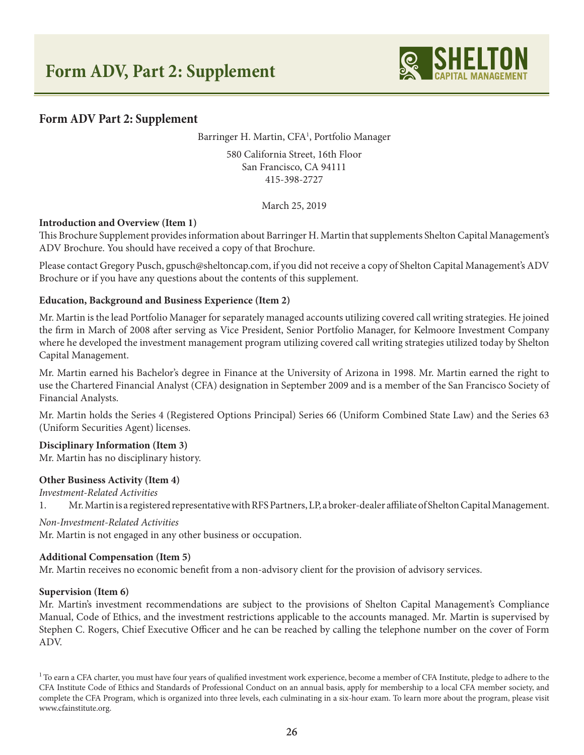

Barringer H. Martin, CFA<sup>1</sup>, Portfolio Manager

580 California Street, 16th Floor San Francisco, CA 94111 415-398-2727

March 25, 2019

## **Introduction and Overview (Item 1)**

This Brochure Supplement provides information about Barringer H. Martin that supplements Shelton Capital Management's ADV Brochure. You should have received a copy of that Brochure.

Please contact Gregory Pusch, gpusch@sheltoncap.com, if you did not receive a copy of Shelton Capital Management's ADV Brochure or if you have any questions about the contents of this supplement.

## **Education, Background and Business Experience (Item 2)**

Mr. Martin is the lead Portfolio Manager for separately managed accounts utilizing covered call writing strategies. He joined the firm in March of 2008 after serving as Vice President, Senior Portfolio Manager, for Kelmoore Investment Company where he developed the investment management program utilizing covered call writing strategies utilized today by Shelton Capital Management.

Mr. Martin earned his Bachelor's degree in Finance at the University of Arizona in 1998. Mr. Martin earned the right to use the Chartered Financial Analyst (CFA) designation in September 2009 and is a member of the San Francisco Society of Financial Analysts.

Mr. Martin holds the Series 4 (Registered Options Principal) Series 66 (Uniform Combined State Law) and the Series 63 (Uniform Securities Agent) licenses.

## **Disciplinary Information (Item 3)**

Mr. Martin has no disciplinary history.

## **Other Business Activity (Item 4)**

*Investment-Related Activities*

1. Mr. Martin is a registered representative with RFS Partners, LP, a broker-dealer affiliate of Shelton Capital Management.

## *Non-Investment-Related Activities*

Mr. Martin is not engaged in any other business or occupation.

#### **Additional Compensation (Item 5)**

Mr. Martin receives no economic benefit from a non-advisory client for the provision of advisory services.

#### **Supervision (Item 6)**

Mr. Martin's investment recommendations are subject to the provisions of Shelton Capital Management's Compliance Manual, Code of Ethics, and the investment restrictions applicable to the accounts managed. Mr. Martin is supervised by Stephen C. Rogers, Chief Executive Officer and he can be reached by calling the telephone number on the cover of Form ADV.

 $1$  To earn a CFA charter, you must have four years of qualified investment work experience, become a member of CFA Institute, pledge to adhere to the CFA Institute Code of Ethics and Standards of Professional Conduct on an annual basis, apply for membership to a local CFA member society, and complete the CFA Program, which is organized into three levels, each culminating in a six-hour exam. To learn more about the program, please visit www.cfainstitute.org.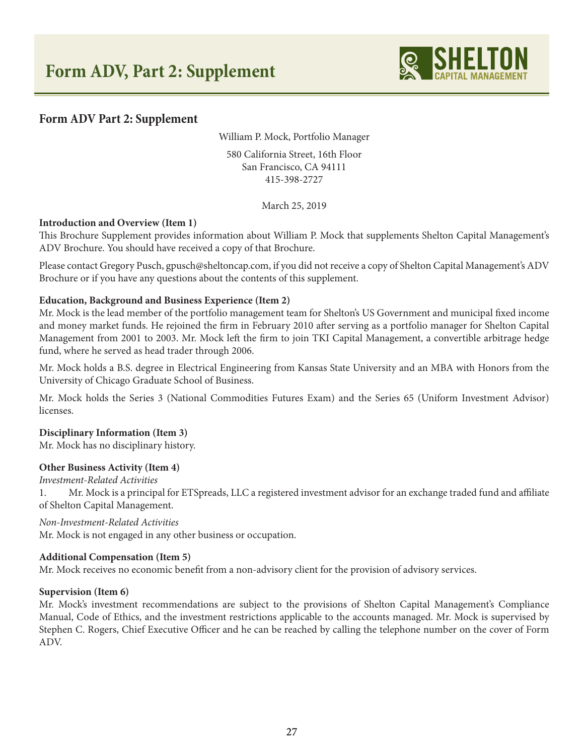

William P. Mock, Portfolio Manager

580 California Street, 16th Floor San Francisco, CA 94111 415-398-2727

March 25, 2019

## **Introduction and Overview (Item 1)**

This Brochure Supplement provides information about William P. Mock that supplements Shelton Capital Management's ADV Brochure. You should have received a copy of that Brochure.

Please contact Gregory Pusch, gpusch@sheltoncap.com, if you did not receive a copy of Shelton Capital Management's ADV Brochure or if you have any questions about the contents of this supplement.

## **Education, Background and Business Experience (Item 2)**

Mr. Mock is the lead member of the portfolio management team for Shelton's US Government and municipal fixed income and money market funds. He rejoined the firm in February 2010 after serving as a portfolio manager for Shelton Capital Management from 2001 to 2003. Mr. Mock left the firm to join TKI Capital Management, a convertible arbitrage hedge fund, where he served as head trader through 2006.

Mr. Mock holds a B.S. degree in Electrical Engineering from Kansas State University and an MBA with Honors from the University of Chicago Graduate School of Business.

Mr. Mock holds the Series 3 (National Commodities Futures Exam) and the Series 65 (Uniform Investment Advisor) licenses.

## **Disciplinary Information (Item 3)**

Mr. Mock has no disciplinary history.

## **Other Business Activity (Item 4)**

*Investment-Related Activities*

1. Mr. Mock is a principal for ETSpreads, LLC a registered investment advisor for an exchange traded fund and affiliate of Shelton Capital Management.

*Non-Investment-Related Activities* Mr. Mock is not engaged in any other business or occupation.

## **Additional Compensation (Item 5)**

Mr. Mock receives no economic benefit from a non-advisory client for the provision of advisory services.

#### **Supervision (Item 6)**

Mr. Mock's investment recommendations are subject to the provisions of Shelton Capital Management's Compliance Manual, Code of Ethics, and the investment restrictions applicable to the accounts managed. Mr. Mock is supervised by Stephen C. Rogers, Chief Executive Officer and he can be reached by calling the telephone number on the cover of Form ADV.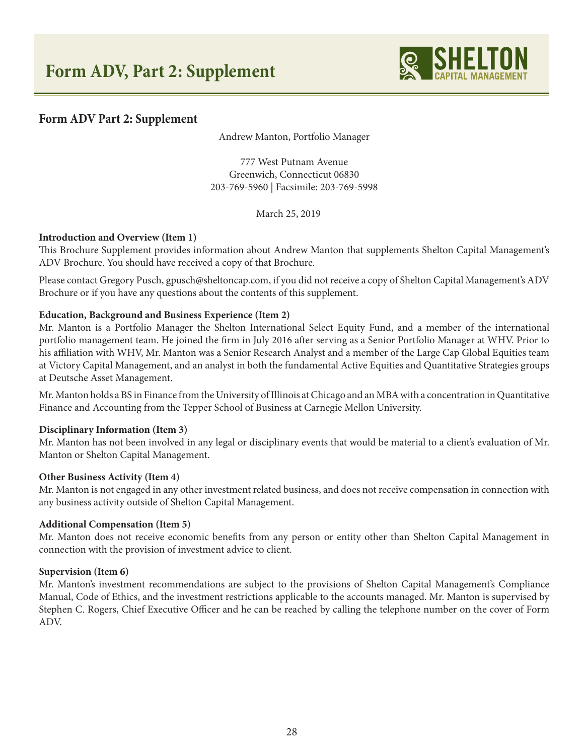

Andrew Manton, Portfolio Manager

777 West Putnam Avenue Greenwich, Connecticut 06830 203-769-5960 | Facsimile: 203-769-5998

March 25, 2019

## **Introduction and Overview (Item 1)**

This Brochure Supplement provides information about Andrew Manton that supplements Shelton Capital Management's ADV Brochure. You should have received a copy of that Brochure.

Please contact Gregory Pusch, gpusch@sheltoncap.com, if you did not receive a copy of Shelton Capital Management's ADV Brochure or if you have any questions about the contents of this supplement.

## **Education, Background and Business Experience (Item 2)**

Mr. Manton is a Portfolio Manager the Shelton International Select Equity Fund, and a member of the international portfolio management team. He joined the firm in July 2016 after serving as a Senior Portfolio Manager at WHV. Prior to his affiliation with WHV, Mr. Manton was a Senior Research Analyst and a member of the Large Cap Global Equities team at Victory Capital Management, and an analyst in both the fundamental Active Equities and Quantitative Strategies groups at Deutsche Asset Management.

Mr. Manton holds a BS in Finance from the University of Illinois at Chicago and an MBA with a concentration in Quantitative Finance and Accounting from the Tepper School of Business at Carnegie Mellon University.

#### **Disciplinary Information (Item 3)**

Mr. Manton has not been involved in any legal or disciplinary events that would be material to a client's evaluation of Mr. Manton or Shelton Capital Management.

#### **Other Business Activity (Item 4)**

Mr. Manton is not engaged in any other investment related business, and does not receive compensation in connection with any business activity outside of Shelton Capital Management.

#### **Additional Compensation (Item 5)**

Mr. Manton does not receive economic benefits from any person or entity other than Shelton Capital Management in connection with the provision of investment advice to client.

#### **Supervision (Item 6)**

Mr. Manton's investment recommendations are subject to the provisions of Shelton Capital Management's Compliance Manual, Code of Ethics, and the investment restrictions applicable to the accounts managed. Mr. Manton is supervised by Stephen C. Rogers, Chief Executive Officer and he can be reached by calling the telephone number on the cover of Form ADV.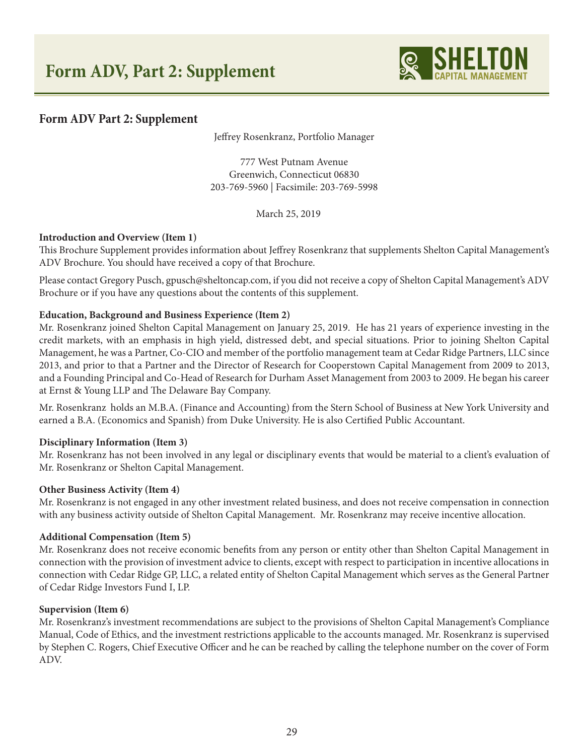

Jeffrey Rosenkranz, Portfolio Manager

777 West Putnam Avenue Greenwich, Connecticut 06830 203-769-5960 | Facsimile: 203-769-5998

March 25, 2019

## **Introduction and Overview (Item 1)**

This Brochure Supplement provides information about Jeffrey Rosenkranz that supplements Shelton Capital Management's ADV Brochure. You should have received a copy of that Brochure.

Please contact Gregory Pusch, gpusch@sheltoncap.com, if you did not receive a copy of Shelton Capital Management's ADV Brochure or if you have any questions about the contents of this supplement.

## **Education, Background and Business Experience (Item 2)**

Mr. Rosenkranz joined Shelton Capital Management on January 25, 2019. He has 21 years of experience investing in the credit markets, with an emphasis in high yield, distressed debt, and special situations. Prior to joining Shelton Capital Management, he was a Partner, Co-CIO and member of the portfolio management team at Cedar Ridge Partners, LLC since 2013, and prior to that a Partner and the Director of Research for Cooperstown Capital Management from 2009 to 2013, and a Founding Principal and Co-Head of Research for Durham Asset Management from 2003 to 2009. He began his career at Ernst & Young LLP and The Delaware Bay Company.

Mr. Rosenkranz holds an M.B.A. (Finance and Accounting) from the Stern School of Business at New York University and earned a B.A. (Economics and Spanish) from Duke University. He is also Certified Public Accountant.

## **Disciplinary Information (Item 3)**

Mr. Rosenkranz has not been involved in any legal or disciplinary events that would be material to a client's evaluation of Mr. Rosenkranz or Shelton Capital Management.

## **Other Business Activity (Item 4)**

Mr. Rosenkranz is not engaged in any other investment related business, and does not receive compensation in connection with any business activity outside of Shelton Capital Management. Mr. Rosenkranz may receive incentive allocation.

## **Additional Compensation (Item 5)**

Mr. Rosenkranz does not receive economic benefits from any person or entity other than Shelton Capital Management in connection with the provision of investment advice to clients, except with respect to participation in incentive allocations in connection with Cedar Ridge GP, LLC, a related entity of Shelton Capital Management which serves as the General Partner of Cedar Ridge Investors Fund I, LP.

## **Supervision (Item 6)**

Mr. Rosenkranz's investment recommendations are subject to the provisions of Shelton Capital Management's Compliance Manual, Code of Ethics, and the investment restrictions applicable to the accounts managed. Mr. Rosenkranz is supervised by Stephen C. Rogers, Chief Executive Officer and he can be reached by calling the telephone number on the cover of Form ADV.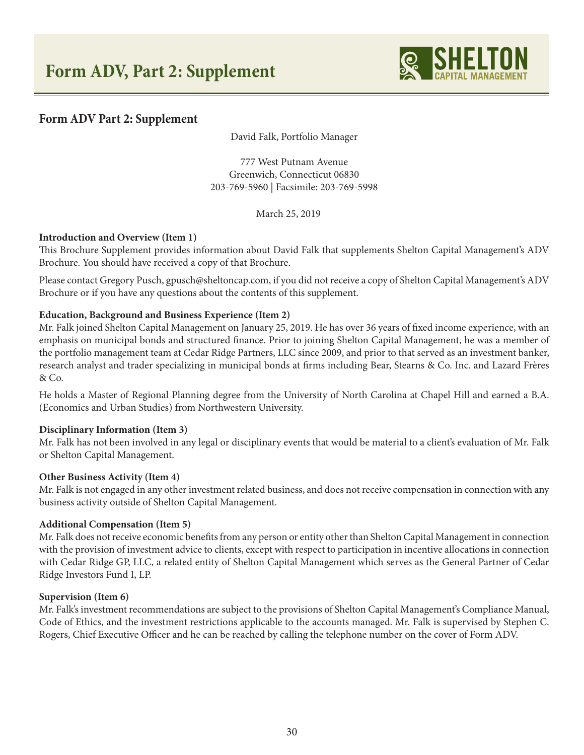

David Falk, Portfolio Manager

777 West Putnam Avenue Greenwich, Connecticut 06830 203-769-5960 | Facsimile: 203-769-5998

March 25, 2019

## **Introduction and Overview (Item 1)**

This Brochure Supplement provides information about David Falk that supplements Shelton Capital Management's ADV Brochure. You should have received a copy of that Brochure.

Please contact Gregory Pusch, gpusch@sheltoncap.com, if you did not receive a copy of Shelton Capital Management's ADV Brochure or if you have any questions about the contents of this supplement.

## **Education, Background and Business Experience (Item 2)**

Mr. Falk joined Shelton Capital Management on January 25, 2019. He has over 36 years of fixed income experience, with an emphasis on municipal bonds and structured finance. Prior to joining Shelton Capital Management, he was a member of the portfolio management team at Cedar Ridge Partners, LLC since 2009, and prior to that served as an investment banker, research analyst and trader specializing in municipal bonds at firms including Bear, Stearns & Co. Inc. and Lazard Frères & Co.

He holds a Master of Regional Planning degree from the University of North Carolina at Chapel Hill and earned a B.A. (Economics and Urban Studies) from Northwestern University.

## **Disciplinary Information (Item 3)**

Mr. Falk has not been involved in any legal or disciplinary events that would be material to a client's evaluation of Mr. Falk or Shelton Capital Management.

#### **Other Business Activity (Item 4)**

Mr. Falk is not engaged in any other investment related business, and does not receive compensation in connection with any business activity outside of Shelton Capital Management.

#### **Additional Compensation (Item 5)**

Mr. Falk does not receive economic benefits from any person or entity other than Shelton Capital Management in connection with the provision of investment advice to clients, except with respect to participation in incentive allocations in connection with Cedar Ridge GP, LLC, a related entity of Shelton Capital Management which serves as the General Partner of Cedar Ridge Investors Fund I, LP.

#### **Supervision (Item 6)**

Mr. Falk's investment recommendations are subject to the provisions of Shelton Capital Management's Compliance Manual, Code of Ethics, and the investment restrictions applicable to the accounts managed. Mr. Falk is supervised by Stephen C. Rogers, Chief Executive Officer and he can be reached by calling the telephone number on the cover of Form ADV.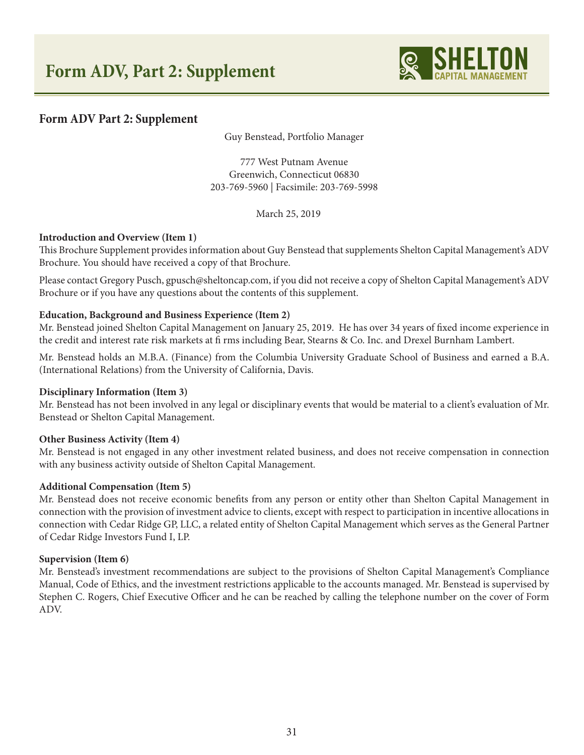

Guy Benstead, Portfolio Manager

777 West Putnam Avenue Greenwich, Connecticut 06830 203-769-5960 | Facsimile: 203-769-5998

March 25, 2019

## **Introduction and Overview (Item 1)**

This Brochure Supplement provides information about Guy Benstead that supplements Shelton Capital Management's ADV Brochure. You should have received a copy of that Brochure.

Please contact Gregory Pusch, gpusch@sheltoncap.com, if you did not receive a copy of Shelton Capital Management's ADV Brochure or if you have any questions about the contents of this supplement.

## **Education, Background and Business Experience (Item 2)**

Mr. Benstead joined Shelton Capital Management on January 25, 2019. He has over 34 years of fixed income experience in the credit and interest rate risk markets at fi rms including Bear, Stearns & Co. Inc. and Drexel Burnham Lambert.

Mr. Benstead holds an M.B.A. (Finance) from the Columbia University Graduate School of Business and earned a B.A. (International Relations) from the University of California, Davis.

#### **Disciplinary Information (Item 3)**

Mr. Benstead has not been involved in any legal or disciplinary events that would be material to a client's evaluation of Mr. Benstead or Shelton Capital Management.

## **Other Business Activity (Item 4)**

Mr. Benstead is not engaged in any other investment related business, and does not receive compensation in connection with any business activity outside of Shelton Capital Management.

## **Additional Compensation (Item 5)**

Mr. Benstead does not receive economic benefits from any person or entity other than Shelton Capital Management in connection with the provision of investment advice to clients, except with respect to participation in incentive allocations in connection with Cedar Ridge GP, LLC, a related entity of Shelton Capital Management which serves as the General Partner of Cedar Ridge Investors Fund I, LP.

#### **Supervision (Item 6)**

Mr. Benstead's investment recommendations are subject to the provisions of Shelton Capital Management's Compliance Manual, Code of Ethics, and the investment restrictions applicable to the accounts managed. Mr. Benstead is supervised by Stephen C. Rogers, Chief Executive Officer and he can be reached by calling the telephone number on the cover of Form ADV.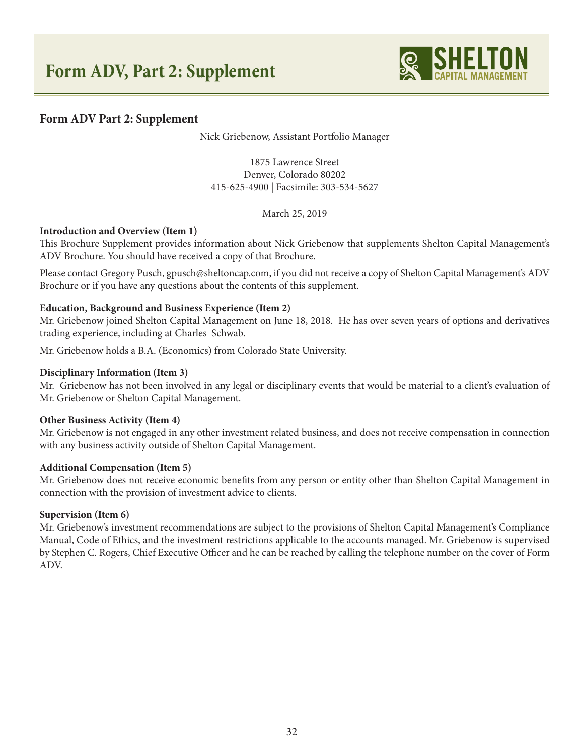

Nick Griebenow, Assistant Portfolio Manager

1875 Lawrence Street Denver, Colorado 80202 415-625-4900 | Facsimile: 303-534-5627

March 25, 2019

## **Introduction and Overview (Item 1)**

This Brochure Supplement provides information about Nick Griebenow that supplements Shelton Capital Management's ADV Brochure. You should have received a copy of that Brochure.

Please contact Gregory Pusch, gpusch@sheltoncap.com, if you did not receive a copy of Shelton Capital Management's ADV Brochure or if you have any questions about the contents of this supplement.

#### **Education, Background and Business Experience (Item 2)**

Mr. Griebenow joined Shelton Capital Management on June 18, 2018. He has over seven years of options and derivatives trading experience, including at Charles Schwab.

Mr. Griebenow holds a B.A. (Economics) from Colorado State University.

#### **Disciplinary Information (Item 3)**

Mr. Griebenow has not been involved in any legal or disciplinary events that would be material to a client's evaluation of Mr. Griebenow or Shelton Capital Management.

#### **Other Business Activity (Item 4)**

Mr. Griebenow is not engaged in any other investment related business, and does not receive compensation in connection with any business activity outside of Shelton Capital Management.

#### **Additional Compensation (Item 5)**

Mr. Griebenow does not receive economic benefits from any person or entity other than Shelton Capital Management in connection with the provision of investment advice to clients.

#### **Supervision (Item 6)**

Mr. Griebenow's investment recommendations are subject to the provisions of Shelton Capital Management's Compliance Manual, Code of Ethics, and the investment restrictions applicable to the accounts managed. Mr. Griebenow is supervised by Stephen C. Rogers, Chief Executive Officer and he can be reached by calling the telephone number on the cover of Form ADV.